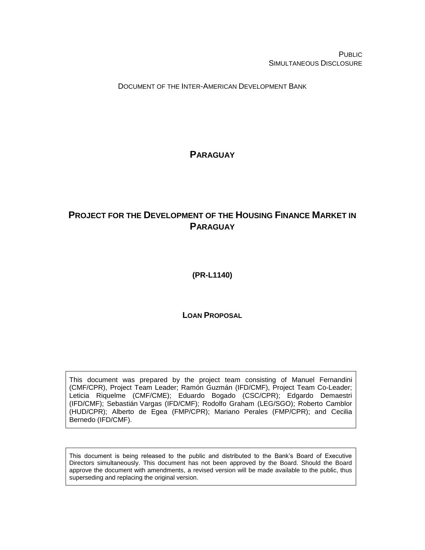PUBLIC SIMULTANEOUS DISCLOSURE

DOCUMENT OF THE INTER-AMERICAN DEVELOPMENT BANK

<span id="page-0-0"></span>**PARAGUAY**

# <span id="page-0-1"></span>**PROJECT FOR THE DEVELOPMENT OF THE HOUSING FINANCE MARKET IN PARAGUAY**

<span id="page-0-2"></span>**(PR-L1140)**

**LOAN PROPOSAL**

This document was prepared by the project team consisting of Manuel Fernandini (CMF/CPR), Project Team Leader; Ramón Guzmán (IFD/CMF), Project Team Co-Leader; Leticia Riquelme (CMF/CME); Eduardo Bogado (CSC/CPR); Edgardo Demaestri (IFD/CMF); Sebastián Vargas (IFD/CMF); Rodolfo Graham (LEG/SGO); Roberto Camblor (HUD/CPR); Alberto de Egea (FMP/CPR); Mariano Perales (FMP/CPR); and Cecilia Bernedo (IFD/CMF).

This document is being released to the public and distributed to the Bank's Board of Executive Directors simultaneously. This document has not been approved by the Board. Should the Board approve the document with amendments, a revised version will be made available to the public, thus superseding and replacing the original version.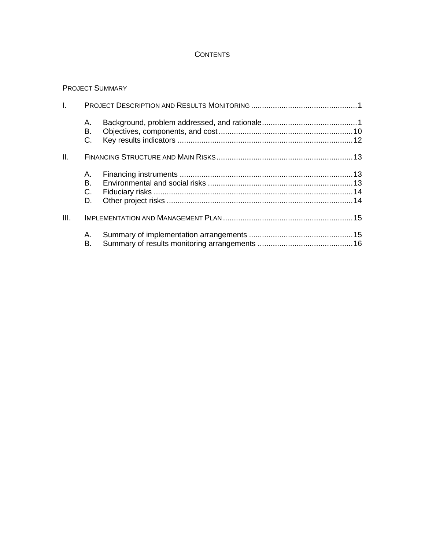## **CONTENTS**

## PROJECT SUMMARY

| I.   |                        |  |
|------|------------------------|--|
|      | А.<br>В.<br>$C_{1}$    |  |
| Ш.   |                        |  |
|      | A. .<br>В.<br>C.<br>D. |  |
| III. |                        |  |
|      | Α.<br>В.               |  |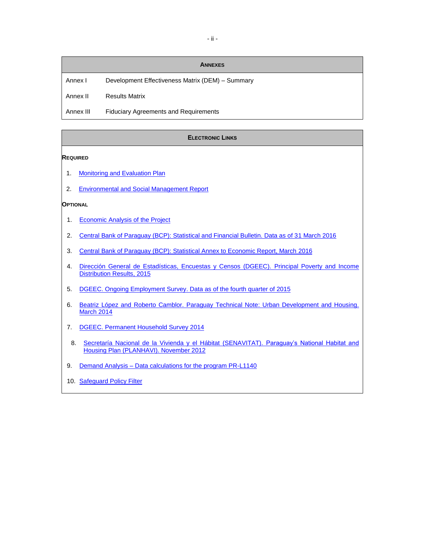## **ANNEXES**

Annex I Development Effectiveness Matrix (DEM) - Summary

Annex II Results Matrix

Annex III Fiduciary Agreements and Requirements

#### ELECTRONIC LINKS

#### **REQUIRED**

- 1. [Monitoring and Evaluation Plan](http://idbdocs.iadb.org/wsdocs/getDocument.aspx?DOCNUM=40396167)
- 2. [Environmental and Social Management Report](http://idbdocs.iadb.org/wsdocs/getDocument.aspx?DOCNUM=40397916)

#### **OPTIONAL**

- 1. [Economic Analysis of the Project](http://idbdocs.iadb.org/wsdocs/getDocument.aspx?DOCNUM=40394750)
- 2. [Central Bank of Paraguay \(BCP\): Statistical and Financial Bulletin. Data as of 31 March 2016](https://www.bcp.gov.py/boletines-estadisticos-i62)
- 3. [Central Bank of Paraguay \(BCP\): Statistical Annex to Economic Report, March](https://www.bcp.gov.py/anexo-estadistico-del-informe-economico-i365) 2016
- 4. [Dirección General de Estadísticas, Encuestas y Censos \(DGEEC\). Principal Poverty and Income](http://www.dgeec.gov.py/Publicaciones/Biblioteca/eph2015/Boletin%20de%20pobreza%202015.pdf)  [Distribution Results, 2015](http://www.dgeec.gov.py/Publicaciones/Biblioteca/eph2015/Boletin%20de%20pobreza%202015.pdf)
- 5. [DGEEC. Ongoing Employment Survey. Data as of the fourth quarter of 2015](http://www.dgeec.gov.py/Publicaciones/Biblioteca/ECE2015/cuarto%20trimestre/Anexo%20Boletin-4to.%20Trim%202015.pdf)
- 6. [Beatriz López and Roberto Camblor. Paraguay Technical Note: Urban Development and Housing.](http://idbdocs.iadb.org/wsdocs/getDocument.aspx?DOCNUM=40298242)  [March](http://idbdocs.iadb.org/wsdocs/getDocument.aspx?DOCNUM=40298242) 2014
- 7. [DGEEC. Permanent Household Survey 2014](http://www.dgeec.gov.py/Publicaciones/Biblioteca/EPH2014/Principales%20Resultados%20EPH%202014..pdf)
- 8. Secretaría Nacional de la Vivienda y el Hábitat (SENAVITAT). Paraguay's National Habitat and [Housing Plan \(PLANHAVI\). November 2012](http://www.senavitat.gov.py/blog/publicaciones/plan-nacional-de-habitat-y-vivienda-planhavi/)
- 9. Demand Analysis [Data calculations for the program PR-L1140](http://idbdocs.iadb.org/wsdocs/getDocument.aspx?DOCNUM=40466457)
- 10. [Safeguard Policy Filter](http://idbdocs.iadb.org/wsdocs/getDocument.aspx?DOCNUM=40399161)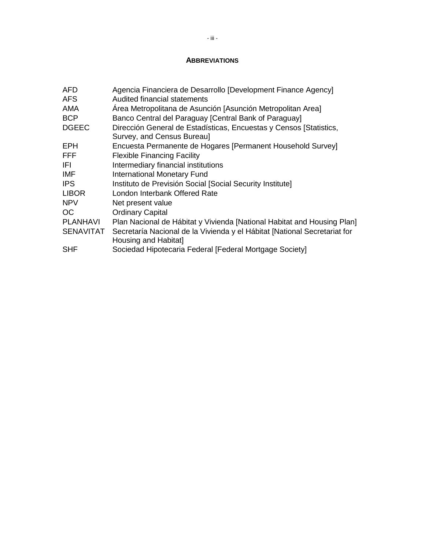#### **ABBREVIATIONS**

| AFD.             | Agencia Financiera de Desarrollo [Development Finance Agency]                                     |
|------------------|---------------------------------------------------------------------------------------------------|
| AFS              | Audited financial statements                                                                      |
| <b>AMA</b>       | Área Metropolitana de Asunción [Asunción Metropolitan Area]                                       |
| <b>BCP</b>       | Banco Central del Paraguay [Central Bank of Paraguay]                                             |
| <b>DGEEC</b>     | Dirección General de Estadísticas, Encuestas y Censos [Statistics,<br>Survey, and Census Bureau]  |
| EPH.             | Encuesta Permanente de Hogares [Permanent Household Survey]                                       |
| <b>FFF</b>       | <b>Flexible Financing Facility</b>                                                                |
| IFI.             | Intermediary financial institutions                                                               |
| IMF              | <b>International Monetary Fund</b>                                                                |
| <b>IPS</b>       | Instituto de Previsión Social [Social Security Institute]                                         |
| <b>LIBOR</b>     | London Interbank Offered Rate                                                                     |
| <b>NPV</b>       | Net present value                                                                                 |
| <b>OC</b>        | <b>Ordinary Capital</b>                                                                           |
| <b>PLANHAVI</b>  | Plan Nacional de Hábitat y Vivienda [National Habitat and Housing Plan]                           |
| <b>SENAVITAT</b> | Secretaría Nacional de la Vivienda y el Hábitat [National Secretariat for<br>Housing and Habitat] |
| <b>SHF</b>       | Sociedad Hipotecaria Federal [Federal Mortgage Society]                                           |
|                  |                                                                                                   |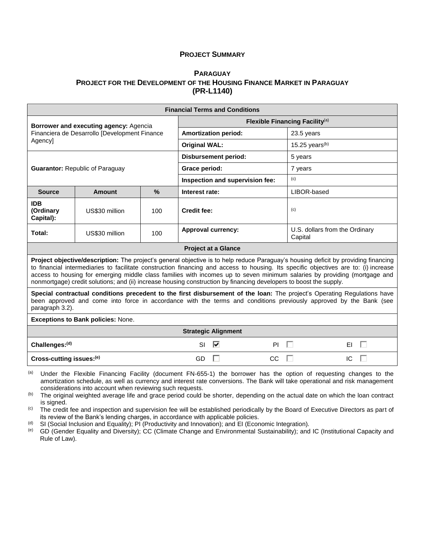#### **PROJECT SUMMARY**

#### **P[ARAGUAY](#page-0-0) PROJECT FOR THE D[EVELOPMENT OF THE](#page-0-1) HOUSING FINANCE MARKET IN PARAGUAY [\(PR-L1140\)](#page-0-2)**

| <b>Financial Terms and Conditions</b>                                                                                                                                                                                                                             |                                                                                                                                                                                                                                                                                                                                                                                                                                                                                                                               |               |                      |                             |                                 |                                           |    |  |
|-------------------------------------------------------------------------------------------------------------------------------------------------------------------------------------------------------------------------------------------------------------------|-------------------------------------------------------------------------------------------------------------------------------------------------------------------------------------------------------------------------------------------------------------------------------------------------------------------------------------------------------------------------------------------------------------------------------------------------------------------------------------------------------------------------------|---------------|----------------------|-----------------------------|---------------------------------|-------------------------------------------|----|--|
| Borrower and executing agency: Agencia                                                                                                                                                                                                                            | Flexible Financing Facility <sup>(a)</sup>                                                                                                                                                                                                                                                                                                                                                                                                                                                                                    |               |                      |                             |                                 |                                           |    |  |
|                                                                                                                                                                                                                                                                   | Financiera de Desarrollo [Development Finance                                                                                                                                                                                                                                                                                                                                                                                                                                                                                 |               |                      | <b>Amortization period:</b> |                                 | 23.5 years                                |    |  |
| Agencyl                                                                                                                                                                                                                                                           |                                                                                                                                                                                                                                                                                                                                                                                                                                                                                                                               |               | <b>Original WAL:</b> |                             |                                 | 15.25 years $(b)$                         |    |  |
|                                                                                                                                                                                                                                                                   |                                                                                                                                                                                                                                                                                                                                                                                                                                                                                                                               |               |                      | <b>Disbursement period:</b> |                                 | 5 years                                   |    |  |
|                                                                                                                                                                                                                                                                   | <b>Guarantor: Republic of Paraguay</b>                                                                                                                                                                                                                                                                                                                                                                                                                                                                                        |               | Grace period:        |                             |                                 | 7 years                                   |    |  |
|                                                                                                                                                                                                                                                                   |                                                                                                                                                                                                                                                                                                                                                                                                                                                                                                                               |               |                      |                             | Inspection and supervision fee: | (c)                                       |    |  |
| <b>Source</b>                                                                                                                                                                                                                                                     | <b>Amount</b>                                                                                                                                                                                                                                                                                                                                                                                                                                                                                                                 | $\frac{9}{6}$ | Interest rate:       |                             |                                 | LIBOR-based                               |    |  |
| <b>IDB</b><br>(Ordinary<br>Capital):                                                                                                                                                                                                                              | US\$30 million                                                                                                                                                                                                                                                                                                                                                                                                                                                                                                                | 100           | <b>Credit fee:</b>   |                             |                                 | (c)                                       |    |  |
| Total:                                                                                                                                                                                                                                                            | US\$30 million                                                                                                                                                                                                                                                                                                                                                                                                                                                                                                                | 100           |                      | <b>Approval currency:</b>   |                                 | U.S. dollars from the Ordinary<br>Capital |    |  |
|                                                                                                                                                                                                                                                                   |                                                                                                                                                                                                                                                                                                                                                                                                                                                                                                                               |               |                      | <b>Project at a Glance</b>  |                                 |                                           |    |  |
|                                                                                                                                                                                                                                                                   | Project objective/description: The project's general objective is to help reduce Paraguay's housing deficit by providing financing<br>to financial intermediaries to facilitate construction financing and access to housing. Its specific objectives are to: (i) increase<br>access to housing for emerging middle class families with incomes up to seven minimum salaries by providing (mortgage and<br>nonmortgage) credit solutions; and (ii) increase housing construction by financing developers to boost the supply. |               |                      |                             |                                 |                                           |    |  |
| Special contractual conditions precedent to the first disbursement of the loan: The project's Operating Regulations have<br>been approved and come into force in accordance with the terms and conditions previously approved by the Bank (see<br>paragraph 3.2). |                                                                                                                                                                                                                                                                                                                                                                                                                                                                                                                               |               |                      |                             |                                 |                                           |    |  |
|                                                                                                                                                                                                                                                                   | <b>Exceptions to Bank policies: None.</b>                                                                                                                                                                                                                                                                                                                                                                                                                                                                                     |               |                      |                             |                                 |                                           |    |  |
|                                                                                                                                                                                                                                                                   | <b>Strategic Alignment</b>                                                                                                                                                                                                                                                                                                                                                                                                                                                                                                    |               |                      |                             |                                 |                                           |    |  |
| Challenges:(d)                                                                                                                                                                                                                                                    |                                                                                                                                                                                                                                                                                                                                                                                                                                                                                                                               |               | <b>SI</b>            | ⊽                           | <b>PI</b>                       | ш                                         | ΕI |  |
| Cross-cutting issues:(e)<br>GD<br><b>CC</b><br>IC                                                                                                                                                                                                                 |                                                                                                                                                                                                                                                                                                                                                                                                                                                                                                                               |               |                      |                             |                                 |                                           |    |  |
|                                                                                                                                                                                                                                                                   |                                                                                                                                                                                                                                                                                                                                                                                                                                                                                                                               |               |                      |                             |                                 |                                           |    |  |

(a) Under the Flexible Financing Facility (document FN-655-1) the borrower has the option of requesting changes to the amortization schedule, as well as currency and interest rate conversions. The Bank will take operational and risk management considerations into account when reviewing such requests.

(b) The original weighted average life and grace period could be shorter, depending on the actual date on which the loan contract is signed.

(c) The credit fee and inspection and supervision fee will be established periodically by the Board of Executive Directors as part of its review of the Bank's lending charges, in accordance with applicable policies.

(d) SI (Social Inclusion and Equality); PI (Productivity and Innovation); and EI (Economic Integration).<br>(e) GD (Gender Equality and Diversity); CC (Climate Change and Environmental Sustainability); and

GD (Gender Equality and Diversity); CC (Climate Change and Environmental Sustainability); and IC (Institutional Capacity and Rule of Law).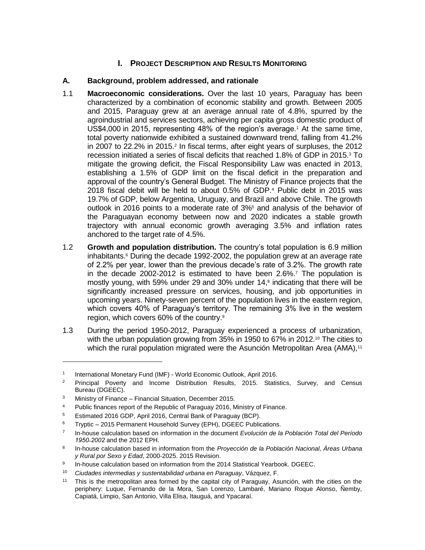## **I. PROJECT DESCRIPTION AND RESULTS MONITORING**

## **A. Background, problem addressed, and rationale**

- 1.1 **Macroeconomic considerations.** Over the last 10 years, Paraguay has been characterized by a combination of economic stability and growth. Between 2005 and 2015, Paraguay grew at an average annual rate of 4.8%, spurred by the agroindustrial and services sectors, achieving per capita gross domestic product of US\$4,000 in 2015, representing 48% of the region's average.<sup>1</sup> At the same time, total poverty nationwide exhibited a sustained downward trend, falling from 41.2% in 2007 to 22.2% in 2015.<sup>2</sup> In fiscal terms, after eight years of surpluses, the 2012 recession initiated a series of fiscal deficits that reached 1.8% of GDP in 2015.<sup>3</sup> To mitigate the growing deficit, the Fiscal Responsibility Law was enacted in 2013, establishing a 1.5% of GDP limit on the fiscal deficit in the preparation and approval of the country's General Budget. The Ministry of Finance projects that the 2018 fiscal debit will be held to about 0.5% of GDP.<sup>4</sup> Public debt in 2015 was 19.7% of GDP, below Argentina, Uruguay, and Brazil and above Chile. The growth outlook in 2016 points to a moderate rate of 3%<sup>5</sup> and analysis of the behavior of the Paraguayan economy between now and 2020 indicates a stable growth trajectory with annual economic growth averaging 3.5% and inflation rates anchored to the target rate of 4.5%.
- 1.2 **Growth and population distribution.** The country's total population is 6.9 million inhabitants.<sup>6</sup> During the decade 1992-2002, the population grew at an average rate of 2.2% per year, lower than the previous decade's rate of 3.2%. The growth rate in the decade 2002-2012 is estimated to have been 2.6%.<sup>7</sup> The population is mostly young, with 59% under 29 and 30% under 14,<sup>8</sup> indicating that there will be significantly increased pressure on services, housing, and job opportunities in upcoming years. Ninety-seven percent of the population lives in the eastern region, which covers 40% of Paraguay's territory. The remaining 3% live in the western region, which covers 60% of the country.<sup>9</sup>
- 1.3 During the period 1950-2012, Paraguay experienced a process of urbanization, with the urban population growing from 35% in 1950 to 67% in 2012.<sup>10</sup> The cities to which the rural population migrated were the Asunción Metropolitan Area (AMA),<sup>11</sup>

<sup>1</sup> International Monetary Fund (IMF) - World Economic Outlook, April 2016.

<sup>&</sup>lt;sup>2</sup> Principal Poverty and Income Distribution Results, 2015. Statistics, Survey, and Census Bureau (DGEEC).

<sup>3</sup> Ministry of Finance – Financial Situation, December 2015.

<sup>&</sup>lt;sup>4</sup> Public finances report of the Republic of Paraguay 2016, Ministry of Finance.

<sup>5</sup> Estimated 2016 GDP, April 2016, Central Bank of Paraguay (BCP).

<sup>&</sup>lt;sup>6</sup> Tryptic – 2015 Permanent Household Survey (EPH), DGEEC Publications.

<sup>7</sup> In-house calculation based on information in the document *Evolución de la Población Total del Período 1950˗2002* and the 2012 EPH.

<sup>8</sup> In-house calculation based in information from the *Proyección de la Población Nacional, Áreas Urbana y Rural por Sexo y Edad*, 2000-2025. 2015 Revision.

<sup>9</sup> In-house calculation based on information from the 2014 Statistical Yearbook. DGEEC.

<sup>10</sup> *Ciudades intermedias y sustentabilidad urbana en Paraguay*, Vázquez, F.

<sup>&</sup>lt;sup>11</sup> This is the metropolitan area formed by the capital city of Paraguay, Asunción, with the cities on the periphery: Luque, Fernando de la Mora, San Lorenzo, Lambaré, Mariano Roque Alonso, Ñemby, Capiatá, Limpio, San Antonio, Villa Elisa, Itauguá, and Ypacaraí.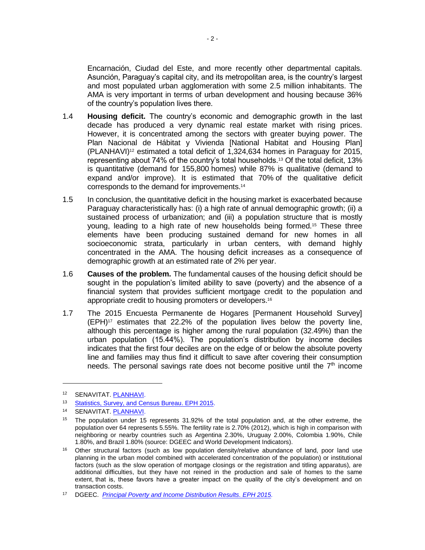Encarnación, Ciudad del Este, and more recently other departmental capitals. Asunción, Paraguay's capital city, and its metropolitan area, is the country's largest and most populated urban agglomeration with some 2.5 million inhabitants. The AMA is very important in terms of urban development and housing because 36% of the country's population lives there.

- 1.4 **Housing deficit.** The country's economic and demographic growth in the last decade has produced a very dynamic real estate market with rising prices. However, it is concentrated among the sectors with greater buying power. The Plan Nacional de Hábitat y Vivienda [National Habitat and Housing Plan] (PLANHAVI)<sup>12</sup> estimated a total deficit of 1,324,634 homes in Paraguay for 2015, representing about 74% of the country's total households.<sup>13</sup> Of the total deficit, 13% is quantitative (demand for 155,800 homes) while 87% is qualitative (demand to expand and/or improve). It is estimated that 70% of the qualitative deficit corresponds to the demand for improvements. 14
- 1.5 In conclusion, the quantitative deficit in the housing market is exacerbated because Paraguay characteristically has: (i) a high rate of annual demographic growth; (ii) a sustained process of urbanization; and (iii) a population structure that is mostly young, leading to a high rate of new households being formed.<sup>15</sup> These three elements have been producing sustained demand for new homes in all socioeconomic strata, particularly in urban centers, with demand highly concentrated in the AMA. The housing deficit increases as a consequence of demographic growth at an estimated rate of 2% per year.
- 1.6 **Causes of the problem.** The fundamental causes of the housing deficit should be sought in the population's limited ability to save (poverty) and the absence of a financial system that provides sufficient mortgage credit to the population and appropriate credit to housing promoters or developers.<sup>16</sup>
- 1.7 The 2015 Encuesta Permanente de Hogares [Permanent Household Survey] (EPH)<sup>17</sup> estimates that 22.2% of the population lives below the poverty line, although this percentage is higher among the rural population (32.49%) than the urban population (15.44%). The population's distribution by income deciles indicates that the first four deciles are on the edge of or below the absolute poverty line and families may thus find it difficult to save after covering their consumption needs. The personal savings rate does not become positive until the  $7<sup>th</sup>$  income

<sup>12</sup> SENAVITAT. [PLANHAVI.](http://www.senavitat.gov.py/blog/publicaciones/plan-nacional-de-habitat-y-vivienda-planhavi/)

<sup>13</sup> [Statistics, Survey, and Census Bureau. EPH 2015.](http://www.dgeec.gov.py/Publicaciones/Biblioteca/EPH/EPH2015/0.Triptico%20EPH%202015%20total%20pais.pdf)

<sup>14</sup> SENAVITAT. [PLANHAVI.](http://www.senavitat.gov.py/blog/publicaciones/plan-nacional-de-habitat-y-vivienda-planhavi/)

<sup>&</sup>lt;sup>15</sup> The population under 15 represents 31.92% of the total population and, at the other extreme, the population over 64 represents 5.55%. The fertility rate is 2.70% (2012), which is high in comparison with neighboring or nearby countries such as Argentina 2.30%, Uruguay 2.00%, Colombia 1.90%, Chile 1.80%, and Brazil 1.80% (source: DGEEC and World Development Indicators).

<sup>&</sup>lt;sup>16</sup> Other structural factors (such as low population density/relative abundance of land, poor land use planning in the urban model combined with accelerated concentration of the population) or institutional factors (such as the slow operation of mortgage closings or the registration and titling apparatus), are additional difficulties, but they have not reined in the production and sale of homes to the same extent, that is, these favors have a greater impact on the quality of the city's development and on transaction costs.

<sup>17</sup> DGEEC. *[Principal Poverty and Income Distribution Results. EPH 2015.](http://www.dgeec.gov.py/Publicaciones/Biblioteca/eph2015/Boletin%20de%20pobreza%202015.pdf)*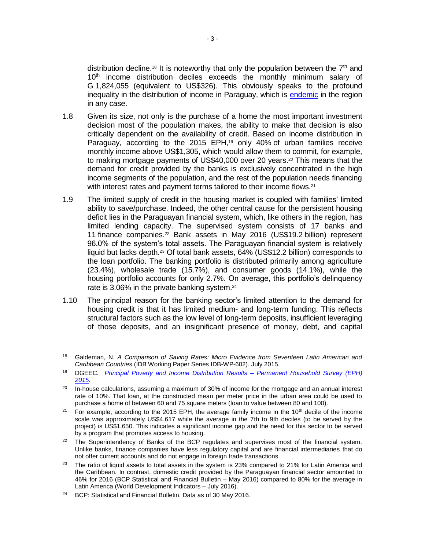distribution decline.<sup>18</sup> It is noteworthy that only the population between the  $7<sup>th</sup>$  and 10<sup>th</sup> income distribution deciles exceeds the monthly minimum salary of G 1,824,055 (equivalent to US\$326). This obviously speaks to the profound inequality in the distribution of income in Paraguay, which is [endemic](http://www.iadb.org/es/investigacion-y-datos/pobreza,7526.html) in the region in any case.

- 1.8 Given its size, not only is the purchase of a home the most important investment decision most of the population makes, the ability to make that decision is also critically dependent on the availability of credit. Based on income distribution in Paraguay, according to the 2015 EPH,<sup>19</sup> only 40% of urban families receive monthly income above US\$1,305, which would allow them to commit, for example, to making mortgage payments of US\$40,000 over 20 years.<sup>20</sup> This means that the demand for credit provided by the banks is exclusively concentrated in the high income segments of the population, and the rest of the population needs financing with interest rates and payment terms tailored to their income flows.<sup>21</sup>
- 1.9 The limited supply of credit in the housing market is coupled with families' limited ability to save/purchase. Indeed, the other central cause for the persistent housing deficit lies in the Paraguayan financial system, which, like others in the region, has limited lending capacity. The supervised system consists of 17 banks and 11 finance companies.<sup>22</sup> Bank assets in May 2016 (US\$19.2 billion) represent 96.0% of the system's total assets. The Paraguayan financial system is relatively liquid but lacks depth.<sup>23</sup> Of total bank assets, 64% (US\$12.2 billion) corresponds to the loan portfolio. The banking portfolio is distributed primarily among agriculture (23.4%), wholesale trade (15.7%), and consumer goods (14.1%), while the housing portfolio accounts for only 2.7%. On average, this portfolio's delinquency rate is 3.06% in the private banking system.<sup>24</sup>
- 1.10 The principal reason for the banking sector's limited attention to the demand for housing credit is that it has limited medium- and long-term funding. This reflects structural factors such as the low level of long-term deposits, insufficient leveraging of those deposits, and an insignificant presence of money, debt, and capital

 $\overline{a}$ 

<sup>18</sup> Galdeman, N. *A Comparison of Saving Rates: Micro Evidence from Seventeen Latin American and Caribbean Countries* (IDB Working Paper Series IDB-WP-602). July 2015.

<sup>19</sup> DGEEC*. [Principal Poverty and Income Distribution Results](http://www.dgeec.gov.py/Publicaciones/Biblioteca/eph2015/Boletin%20de%20pobreza%202015.pdf) – Permanent Household Survey (EPH) 2015.*

 $20$  In-house calculations, assuming a maximum of 30% of income for the mortgage and an annual interest rate of 10%. That loan, at the constructed mean per meter price in the urban area could be used to purchase a home of between 60 and 75 square meters (loan to value between 80 and 100).

<sup>&</sup>lt;sup>21</sup> For example, according to the 2015 EPH, the average family income in the 10<sup>th</sup> decile of the income scale was approximately US\$4,617 while the average in the 7th to 9th deciles (to be served by the project) is US\$1,650. This indicates a significant income gap and the need for this sector to be served by a program that promotes access to housing.

<sup>&</sup>lt;sup>22</sup> The Superintendency of Banks of the BCP regulates and supervises most of the financial system. Unlike banks, finance companies have less regulatory capital and are financial intermediaries that do not offer current accounts and do not engage in foreign trade transactions.

<sup>&</sup>lt;sup>23</sup> The ratio of liquid assets to total assets in the system is 23% compared to 21% for Latin America and the Caribbean. In contrast, domestic credit provided by the Paraguayan financial sector amounted to 46% for 2016 (BCP Statistical and Financial Bulletin – May 2016) compared to 80% for the average in Latin America (World Development Indicators – July 2016).

<sup>&</sup>lt;sup>24</sup> BCP: Statistical and Financial Bulletin. Data as of 30 May 2016.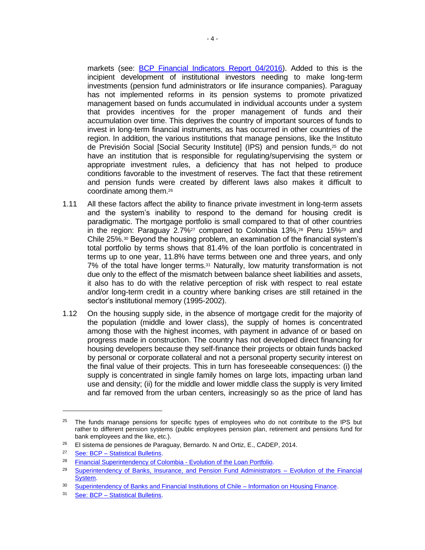markets (see: **[BCP Financial Indicators Report 04/2016\)](https://www.bcp.gov.py/indicadores-financieros-mensual-i363)**. Added to this is the incipient development of institutional investors needing to make long-term investments (pension fund administrators or life insurance companies). Paraguay has not implemented reforms in its pension systems to promote privatized management based on funds accumulated in individual accounts under a system that provides incentives for the proper management of funds and their accumulation over time. This deprives the country of important sources of funds to invest in long-term financial instruments, as has occurred in other countries of the region. In addition, the various institutions that manage pensions, like the Instituto de Previsión Social [Social Security Institute] (IPS) and pension funds,<sup>25</sup> do not have an institution that is responsible for regulating/supervising the system or appropriate investment rules, a deficiency that has not helped to produce conditions favorable to the investment of reserves. The fact that these retirement and pension funds were created by different laws also makes it difficult to coordinate among them.<sup>26</sup>

- 1.11 All these factors affect the ability to finance private investment in long-term assets and the system's inability to respond to the demand for housing credit is paradigmatic. The mortgage portfolio is small compared to that of other countries in the region: Paraguay 2.7%<sup>27</sup> compared to Colombia 13%,<sup>28</sup> Peru 15%<sup>29</sup> and Chile 25%.<sup>30</sup> Beyond the housing problem, an examination of the financial system's total portfolio by terms shows that 81.4% of the loan portfolio is concentrated in terms up to one year, 11.8% have terms between one and three years, and only 7% of the total have longer terms.<sup>31</sup> Naturally, low maturity transformation is not due only to the effect of the mismatch between balance sheet liabilities and assets, it also has to do with the relative perception of risk with respect to real estate and/or long-term credit in a country where banking crises are still retained in the sector's institutional memory (1995-2002).
- 1.12 On the housing supply side, in the absence of mortgage credit for the majority of the population (middle and lower class), the supply of homes is concentrated among those with the highest incomes, with payment in advance of or based on progress made in construction. The country has not developed direct financing for housing developers because they self-finance their projects or obtain funds backed by personal or corporate collateral and not a personal property security interest on the final value of their projects. This in turn has foreseeable consequences: (i) the supply is concentrated in single family homes on large lots, impacting urban land use and density; (ii) for the middle and lower middle class the supply is very limited and far removed from the urban centers, increasingly so as the price of land has

<sup>&</sup>lt;sup>25</sup> The funds manage pensions for specific types of employees who do not contribute to the IPS but rather to different pension systems (public employees pension plan, retirement and pensions fund for bank employees and the like, etc.).

 $26$  El sistema de pensiones de Paraguay, Bernardo. N and Ortiz, E., CADEP, 2014.

<sup>27</sup> See: BCP – [Statistical Bulletins.](https://www.bcp.gov.py/boletines-estadisticos-i62)

<sup>&</sup>lt;sup>28</sup> [Financial Superintendency of Colombia -](https://www.superfinanciera.gov.co/jsp/loader.jsf?lServicio=Publicaciones&lTipo=publicaciones&lFuncion=loadContenidoPublicacion&id=60950) Evolution of the Loan Portfolio.

<sup>&</sup>lt;sup>29</sup> [Superintendency of Banks, Insurance, and Pension Fund Administrators –](http://www.sbs.gob.pe/app/stats/EstadisticaBoletinEstadistico.asp?p=13) Evolution of the Financial [System.](http://www.sbs.gob.pe/app/stats/EstadisticaBoletinEstadistico.asp?p=13)

<sup>30</sup> [Superintendency of Banks and Financial Institutions of Chile –](http://www.sbif.cl/sbifweb/servlet/InfoFinanciera?indice=C.D.A&idContenido=15122) Information on Housing Finance.

<sup>31</sup> See: BCP – [Statistical Bulletins.](https://www.bcp.gov.py/boletines-estadisticos-i62)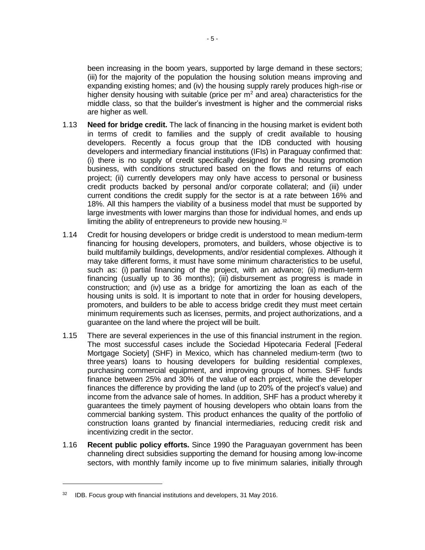been increasing in the boom years, supported by large demand in these sectors; (iii) for the majority of the population the housing solution means improving and expanding existing homes; and (iv) the housing supply rarely produces high-rise or higher density housing with suitable (price per  $m<sup>2</sup>$  and area) characteristics for the middle class, so that the builder's investment is higher and the commercial risks are higher as well.

- 1.13 **Need for bridge credit.** The lack of financing in the housing market is evident both in terms of credit to families and the supply of credit available to housing developers. Recently a focus group that the IDB conducted with housing developers and intermediary financial institutions (IFIs) in Paraguay confirmed that: (i) there is no supply of credit specifically designed for the housing promotion business, with conditions structured based on the flows and returns of each project; (ii) currently developers may only have access to personal or business credit products backed by personal and/or corporate collateral; and (iii) under current conditions the credit supply for the sector is at a rate between 16% and 18%. All this hampers the viability of a business model that must be supported by large investments with lower margins than those for individual homes, and ends up limiting the ability of entrepreneurs to provide new housing.<sup>32</sup>
- 1.14 Credit for housing developers or bridge credit is understood to mean medium-term financing for housing developers, promoters, and builders, whose objective is to build multifamily buildings, developments, and/or residential complexes. Although it may take different forms, it must have some minimum characteristics to be useful, such as: (i) partial financing of the project, with an advance; (ii) medium-term financing (usually up to 36 months); (iii) disbursement as progress is made in construction; and (iv) use as a bridge for amortizing the loan as each of the housing units is sold. It is important to note that in order for housing developers, promoters, and builders to be able to access bridge credit they must meet certain minimum requirements such as licenses, permits, and project authorizations, and a guarantee on the land where the project will be built.
- 1.15 There are several experiences in the use of this financial instrument in the region. The most successful cases include the Sociedad Hipotecaria Federal [Federal Mortgage Society] (SHF) in Mexico, which has channeled medium-term (two to three years) loans to housing developers for building residential complexes, purchasing commercial equipment, and improving groups of homes. SHF funds finance between 25% and 30% of the value of each project, while the developer finances the difference by providing the land (up to 20% of the project's value) and income from the advance sale of homes. In addition, SHF has a product whereby it guarantees the timely payment of housing developers who obtain loans from the commercial banking system. This product enhances the quality of the portfolio of construction loans granted by financial intermediaries, reducing credit risk and incentivizing credit in the sector.
- 1.16 **Recent public policy efforts.** Since 1990 the Paraguayan government has been channeling direct subsidies supporting the demand for housing among low-income sectors, with monthly family income up to five minimum salaries, initially through

 $32$  IDB. Focus group with financial institutions and developers, 31 May 2016.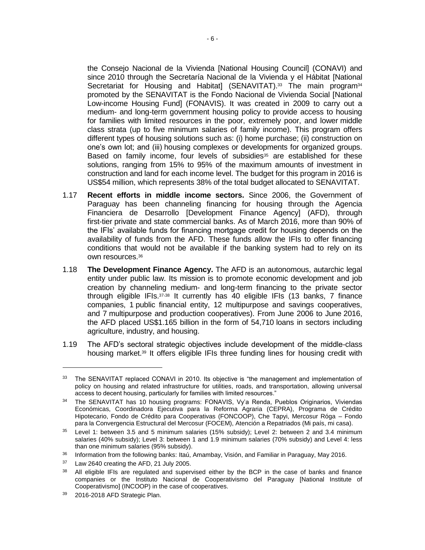the Consejo Nacional de la Vivienda [National Housing Council] (CONAVI) and since 2010 through the Secretaría Nacional de la Vivienda y el Hábitat [National Secretariat for Housing and Habitat] (SENAVITAT).<sup>33</sup> The main program<sup>34</sup> promoted by the SENAVITAT is the Fondo Nacional de Vivienda Social [National Low-income Housing Fund] (FONAVIS). It was created in 2009 to carry out a medium- and long-term government housing policy to provide access to housing for families with limited resources in the poor, extremely poor, and lower middle class strata (up to five minimum salaries of family income). This program offers different types of housing solutions such as: (i) home purchase; (ii) construction on one's own lot; and (iii) housing complexes or developments for organized groups. Based on family income, four levels of subsidies<sup>35</sup> are established for these solutions, ranging from 15% to 95% of the maximum amounts of investment in construction and land for each income level. The budget for this program in 2016 is US\$54 million, which represents 38% of the total budget allocated to SENAVITAT.

- 1.17 **Recent efforts in middle income sectors.** Since 2006, the Government of Paraguay has been channeling financing for housing through the Agencia Financiera de Desarrollo [Development Finance Agency] (AFD), through first-tier private and state commercial banks. As of March 2016, more than 90% of the IFIs' available funds for financing mortgage credit for housing depends on the availability of funds from the AFD. These funds allow the IFIs to offer financing conditions that would not be available if the banking system had to rely on its own resources.<sup>36</sup>
- 1.18 **The Development Finance Agency.** The AFD is an autonomous, autarchic legal entity under public law. Its mission is to promote economic development and job creation by channeling medium- and long-term financing to the private sector through eligible IFIs.37,<sup>38</sup> It currently has 40 eligible IFIs (13 banks, 7 finance companies, 1 public financial entity, 12 multipurpose and savings cooperatives, and 7 multipurpose and production cooperatives). From June 2006 to June 2016, the AFD placed US\$1.165 billion in the form of 54,710 loans in sectors including agriculture, industry, and housing.
- 1.19 The AFD's sectoral strategic objectives include development of the middle-class housing market.<sup>39</sup> It offers eligible IFIs three funding lines for housing credit with

 $\overline{a}$ 

<sup>33</sup> The SENAVITAT replaced CONAVI in 2010. Its objective is "the management and implementation of policy on housing and related infrastructure for utilities, roads, and transportation, allowing universal access to decent housing, particularly for families with limited resources."

<sup>&</sup>lt;sup>34</sup> The SENAVITAT has 10 housing programs: FONAVIS, Vy'a Renda, Pueblos Originarios, Viviendas Económicas, Coordinadora Ejecutiva para la Reforma Agraria (CEPRA), Programa de Crédito Hipotecario, Fondo de Crédito para Cooperativas (FONCOOP), Che Tapyi, Mercosur Róga – Fondo para la Convergencia Estructural del Mercosur (FOCEM), Atención a Repatriados (Mi país, mi casa).

<sup>35</sup> Level 1: between 3.5 and 5 minimum salaries (15% subsidy); Level 2: between 2 and 3.4 minimum salaries (40% subsidy); Level 3: between 1 and 1.9 minimum salaries (70% subsidy) and Level 4: less than one minimum salaries (95% subsidy).

<sup>&</sup>lt;sup>36</sup> Information from the following banks: Itaú, Amambay, Visión, and Familiar in Paraguay, May 2016.

<sup>&</sup>lt;sup>37</sup> Law 2640 creating the AFD, 21 July 2005.

<sup>&</sup>lt;sup>38</sup> All eligible IFIs are regulated and supervised either by the BCP in the case of banks and finance companies or the Instituto Nacional de Cooperativismo del Paraguay [National Institute of Cooperativismo] (INCOOP) in the case of cooperatives.

<sup>39</sup> 2016-2018 AFD Strategic Plan.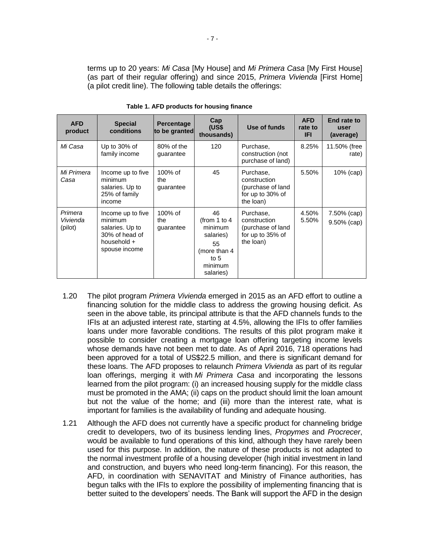terms up to 20 years: *Mi Casa* [My House] and *Mi Primera Casa* [My First House] (as part of their regular offering) and since 2015, *Primera Vivienda* [First Home] (a pilot credit line). The following table details the offerings:

| <b>AFD</b><br>product          | <b>Special</b><br>conditions                                                                      | <b>Percentage</b><br>to be granted | Cap<br>(US\$<br>thousands)                                                                          | Use of funds                                                                    | <b>AFD</b><br>rate to<br><b>IFI</b> | End rate to<br>user<br>(average) |
|--------------------------------|---------------------------------------------------------------------------------------------------|------------------------------------|-----------------------------------------------------------------------------------------------------|---------------------------------------------------------------------------------|-------------------------------------|----------------------------------|
| Mi Casa                        | Up to $30\%$ of<br>family income                                                                  | 80% of the<br>guarantee            | 120                                                                                                 | Purchase,<br>construction (not<br>purchase of land)                             | 8.25%                               | 11.50% (free<br>rate)            |
| Mi Primera<br>Casa             | Income up to five<br>minimum<br>salaries. Up to<br>25% of family<br>income                        | $100\%$ of<br>the<br>guarantee     | 45                                                                                                  | Purchase,<br>construction<br>(purchase of land<br>for up to 30% of<br>the loan) | 5.50%                               | $10\%$ (cap)                     |
| Primera<br>Vivienda<br>(pilot) | Income up to five<br>minimum<br>salaries. Up to<br>30% of head of<br>household +<br>spouse income | 100% of<br>the<br>guarantee        | 46<br>(from 1 to 4<br>minimum<br>salaries)<br>55<br>(more than 4)<br>to $5$<br>minimum<br>salaries) | Purchase,<br>construction<br>(purchase of land<br>for up to 35% of<br>the loan) | 4.50%<br>5.50%                      | 7.50% (cap)<br>$9.50\%$ (cap)    |

**Table 1. AFD products for housing finance**

- 1.20 The pilot program *Primera Vivienda* emerged in 2015 as an AFD effort to outline a financing solution for the middle class to address the growing housing deficit. As seen in the above table, its principal attribute is that the AFD channels funds to the IFIs at an adjusted interest rate, starting at 4.5%, allowing the IFIs to offer families loans under more favorable conditions. The results of this pilot program make it possible to consider creating a mortgage loan offering targeting income levels whose demands have not been met to date. As of April 2016, 718 operations had been approved for a total of US\$22.5 million, and there is significant demand for these loans. The AFD proposes to relaunch *Primera Vivienda* as part of its regular loan offerings, merging it with *Mi Primera Casa* and incorporating the lessons learned from the pilot program: (i) an increased housing supply for the middle class must be promoted in the AMA; (ii) caps on the product should limit the loan amount but not the value of the home; and (iii) more than the interest rate, what is important for families is the availability of funding and adequate housing.
- <span id="page-11-0"></span>1.21 Although the AFD does not currently have a specific product for channeling bridge credit to developers, two of its business lending lines, *Propymes* and *Procrecer*, would be available to fund operations of this kind, although they have rarely been used for this purpose. In addition, the nature of these products is not adapted to the normal investment profile of a housing developer (high initial investment in land and construction, and buyers who need long-term financing). For this reason, the AFD, in coordination with SENAVITAT and Ministry of Finance authorities, has begun talks with the IFIs to explore the possibility of implementing financing that is better suited to the developers' needs. The Bank will support the AFD in the design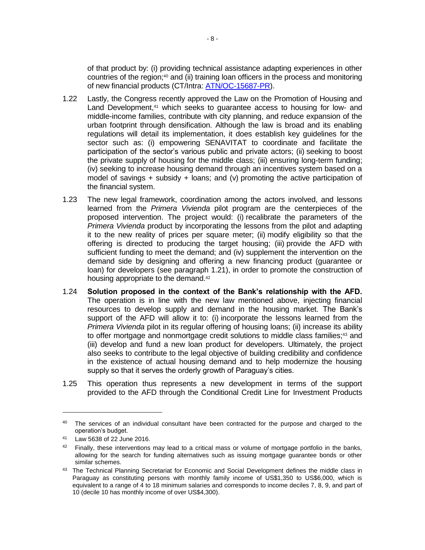of that product by: (i) providing technical assistance adapting experiences in other countries of the region;<sup>40</sup> and (ii) training loan officers in the process and monitoring of new financial products (CT/Intra: [ATN/OC-15687-PR\)](http://www.iadb.org/en/projects/project-description-title,1303.html?id=PR-T1226).

- 1.22 Lastly, the Congress recently approved the Law on the Promotion of Housing and Land Development,<sup>41</sup> which seeks to quarantee access to housing for low- and middle-income families, contribute with city planning, and reduce expansion of the urban footprint through densification. Although the law is broad and its enabling regulations will detail its implementation, it does establish key guidelines for the sector such as: (i) empowering SENAVITAT to coordinate and facilitate the participation of the sector's various public and private actors; (ii) seeking to boost the private supply of housing for the middle class; (iii) ensuring long-term funding; (iv) seeking to increase housing demand through an incentives system based on a model of savings  $+$  subsidy  $+$  loans; and (v) promoting the active participation of the financial system.
- 1.23 The new legal framework, coordination among the actors involved, and lessons learned from the *Primera Vivienda* pilot program are the centerpieces of the proposed intervention. The project would: (i) recalibrate the parameters of the *Primera Vivienda* product by incorporating the lessons from the pilot and adapting it to the new reality of prices per square meter; (ii) modify eligibility so that the offering is directed to producing the target housing; (iii) provide the AFD with sufficient funding to meet the demand; and (iv) supplement the intervention on the demand side by designing and offering a new financing product (guarantee or loan) for developers (see paragraph [1.21\)](#page-11-0), in order to promote the construction of housing appropriate to the demand.<sup>42</sup>
- 1.24 **Solution proposed in the context of the Bank's relationship with the AFD.** The operation is in line with the new law mentioned above, injecting financial resources to develop supply and demand in the housing market. The Bank's support of the AFD will allow it to: (i) incorporate the lessons learned from the *Primera Vivienda* pilot in its regular offering of housing loans; (ii) increase its ability to offer mortgage and nonmortgage credit solutions to middle class families;<sup>43</sup> and (iii) develop and fund a new loan product for developers. Ultimately, the project also seeks to contribute to the legal objective of building credibility and confidence in the existence of actual housing demand and to help modernize the housing supply so that it serves the orderly growth of Paraguay's cities.
- 1.25 This operation thus represents a new development in terms of the support provided to the AFD through the Conditional Credit Line for Investment Products

 $\overline{a}$ 

<sup>&</sup>lt;sup>40</sup> The services of an individual consultant have been contracted for the purpose and charged to the operation's budget.

<sup>41</sup> Law 5638 of 22 June 2016.

 $42$  Finally, these interventions may lead to a critical mass or volume of mortgage portfolio in the banks, allowing for the search for funding alternatives such as issuing mortgage guarantee bonds or other similar schemes.

<sup>43</sup> The Technical Planning Secretariat for Economic and Social Development defines the middle class in Paraguay as constituting persons with monthly family income of US\$1,350 to US\$6,000, which is equivalent to a range of 4 to 18 minimum salaries and corresponds to income deciles 7, 8, 9, and part of 10 (decile 10 has monthly income of over US\$4,300).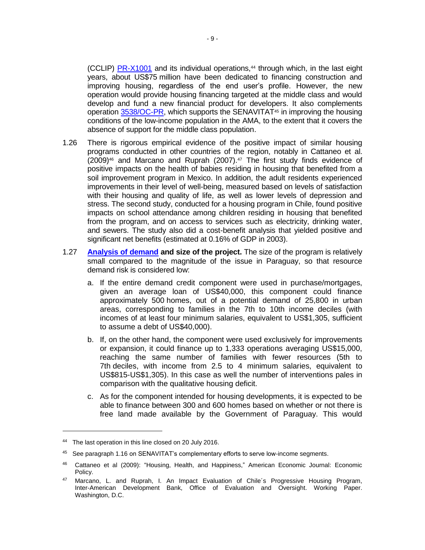(CCLIP) [PR-X1001](http://www.iadb.org/en/projects/project-description-title,1303.html?id=PR-X1001) and its individual operations,<sup>44</sup> through which, in the last eight years, about US\$75 million have been dedicated to financing construction and improving housing, regardless of the end user's profile. However, the new operation would provide housing financing targeted at the middle class and would develop and fund a new financial product for developers. It also complements operation [3538/OC-PR,](http://www.iadb.org/en/projects/project-description-title,1303.html?id=PR-L1082) which supports the SENAVITAT<sup>45</sup> in improving the housing conditions of the low-income population in the AMA, to the extent that it covers the absence of support for the middle class population.

- 1.26 There is rigorous empirical evidence of the positive impact of similar housing programs conducted in other countries of the region, notably in Cattaneo et al.  $(2009)^{46}$  and Marcano and Ruprah  $(2007)^{47}$  The first study finds evidence of positive impacts on the health of babies residing in housing that benefited from a soil improvement program in Mexico. In addition, the adult residents experienced improvements in their level of well-being, measured based on levels of satisfaction with their housing and quality of life, as well as lower levels of depression and stress. The second study, conducted for a housing program in Chile, found positive impacts on school attendance among children residing in housing that benefited from the program, and on access to services such as electricity, drinking water, and sewers. The study also did a cost-benefit analysis that yielded positive and significant net benefits (estimated at 0.16% of GDP in 2003).
- 1.27 **[Analysis of demand](http://idbdocs.iadb.org/wsdocs/getDocument.aspx?DOCNUM=40466457) and size of the project.** The size of the program is relatively small compared to the magnitude of the issue in Paraguay, so that resource demand risk is considered low:
	- a. If the entire demand credit component were used in purchase/mortgages, given an average loan of US\$40,000, this component could finance approximately 500 homes, out of a potential demand of 25,800 in urban areas, corresponding to families in the 7th to 10th income deciles (with incomes of at least four minimum salaries, equivalent to US\$1,305, sufficient to assume a debt of US\$40,000).
	- b. If, on the other hand, the component were used exclusively for improvements or expansion, it could finance up to 1,333 operations averaging US\$15,000, reaching the same number of families with fewer resources (5th to 7th deciles, with income from 2.5 to 4 minimum salaries, equivalent to US\$815-US\$1,305). In this case as well the number of interventions pales in comparison with the qualitative housing deficit.
	- c. As for the component intended for housing developments, it is expected to be able to finance between 300 and 600 homes based on whether or not there is free land made available by the Government of Paraguay. This would

<sup>&</sup>lt;sup>44</sup> The last operation in this line closed on 20 July 2016.

<sup>45</sup> See paragraph 1.16 on SENAVITAT's complementary efforts to serve low-income segments.

<sup>46</sup> Cattaneo et al (2009): "Housing, Health, and Happiness," American Economic Journal: Economic Policy.

<sup>&</sup>lt;sup>47</sup> Marcano, L. and Ruprah, I. An Impact Evaluation of Chile's Progressive Housing Program, Inter-American Development Bank, Office of Evaluation and Oversight. Working Paper. Washington, D.C.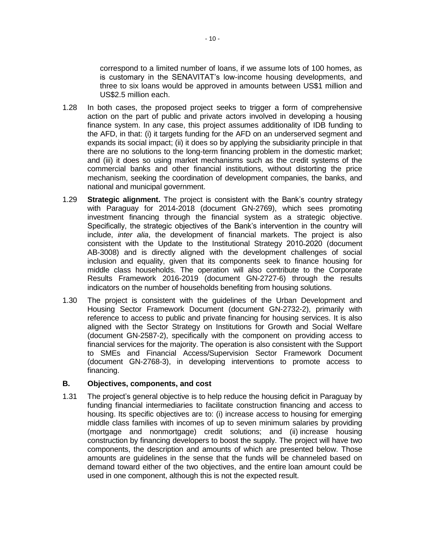correspond to a limited number of loans, if we assume lots of 100 homes, as is customary in the SENAVITAT's low-income housing developments, and three to six loans would be approved in amounts between US\$1 million and US\$2.5 million each.

- 1.28 In both cases, the proposed project seeks to trigger a form of comprehensive action on the part of public and private actors involved in developing a housing finance system. In any case, this project assumes additionality of IDB funding to the AFD, in that: (i) it targets funding for the AFD on an underserved segment and expands its social impact; (ii) it does so by applying the subsidiarity principle in that there are no solutions to the long-term financing problem in the domestic market; and (iii) it does so using market mechanisms such as the credit systems of the commercial banks and other financial institutions, without distorting the price mechanism, seeking the coordination of development companies, the banks, and national and municipal government.
- 1.29 **Strategic alignment.** The project is consistent with the Bank's country strategy with Paraguay for 2014-2018 (document GN-2769), which sees promoting investment financing through the financial system as a strategic objective. Specifically, the strategic objectives of the Bank's intervention in the country will include, *inter alia*, the development of financial markets. The project is also consistent with the Update to the Institutional Strategy 2010-2020 (document AB-3008) and is directly aligned with the development challenges of social inclusion and equality, given that its components seek to finance housing for middle class households. The operation will also contribute to the Corporate Results Framework 2016-2019 (document GN-2727-6) through the results indicators on the number of households benefiting from housing solutions.
- 1.30 The project is consistent with the guidelines of the Urban Development and Housing Sector Framework Document (document GN-2732-2), primarily with reference to access to public and private financing for housing services. It is also aligned with the Sector Strategy on Institutions for Growth and Social Welfare (document GN-2587-2), specifically with the component on providing access to financial services for the majority. The operation is also consistent with the Support to SMEs and Financial Access/Supervision Sector Framework Document (document GN-2768-3), in developing interventions to promote access to financing.

#### **B. Objectives, components, and cost**

1.31 The project's general objective is to help reduce the housing deficit in Paraguay by funding financial intermediaries to facilitate construction financing and access to housing. Its specific objectives are to: (i) increase access to housing for emerging middle class families with incomes of up to seven minimum salaries by providing (mortgage and nonmortgage) credit solutions; and (ii) increase housing construction by financing developers to boost the supply. The project will have two components, the description and amounts of which are presented below. Those amounts are guidelines in the sense that the funds will be channeled based on demand toward either of the two objectives, and the entire loan amount could be used in one component, although this is not the expected result.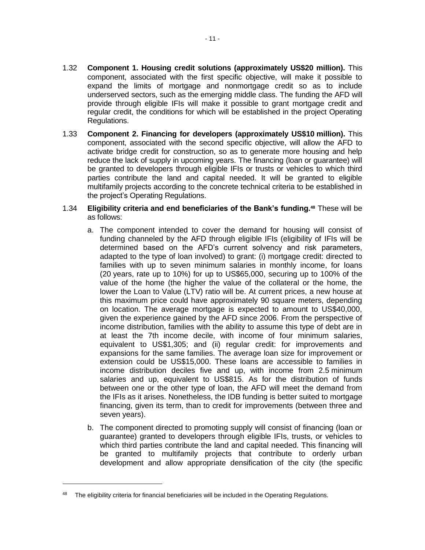- 1.32 **Component 1. Housing credit solutions (approximately US\$20 million).** This component, associated with the first specific objective, will make it possible to expand the limits of mortgage and nonmortgage credit so as to include underserved sectors, such as the emerging middle class. The funding the AFD will provide through eligible IFIs will make it possible to grant mortgage credit and regular credit, the conditions for which will be established in the project Operating Regulations.
- 1.33 **Component 2. Financing for developers (approximately US\$10 million).** This component, associated with the second specific objective, will allow the AFD to activate bridge credit for construction, so as to generate more housing and help reduce the lack of supply in upcoming years. The financing (loan or guarantee) will be granted to developers through eligible IFIs or trusts or vehicles to which third parties contribute the land and capital needed. It will be granted to eligible multifamily projects according to the concrete technical criteria to be established in the project's Operating Regulations.

#### 1.34 **Eligibility criteria and end beneficiaries of the Bank's funding.<sup>48</sup>** These will be as follows:

- a. The component intended to cover the demand for housing will consist of funding channeled by the AFD through eligible IFIs (eligibility of IFIs will be determined based on the AFD's current solvency and risk parameters, adapted to the type of loan involved) to grant: (i) mortgage credit: directed to families with up to seven minimum salaries in monthly income, for loans (20 years, rate up to 10%) for up to US\$65,000, securing up to 100% of the value of the home (the higher the value of the collateral or the home, the lower the Loan to Value (LTV) ratio will be. At current prices, a new house at this maximum price could have approximately 90 square meters, depending on location. The average mortgage is expected to amount to US\$40,000, given the experience gained by the AFD since 2006. From the perspective of income distribution, families with the ability to assume this type of debt are in at least the 7th income decile, with income of four minimum salaries, equivalent to US\$1,305; and (ii) regular credit: for improvements and expansions for the same families. The average loan size for improvement or extension could be US\$15,000. These loans are accessible to families in income distribution deciles five and up, with income from 2.5 minimum salaries and up, equivalent to US\$815. As for the distribution of funds between one or the other type of loan, the AFD will meet the demand from the IFIs as it arises. Nonetheless, the IDB funding is better suited to mortgage financing, given its term, than to credit for improvements (between three and seven years).
- b. The component directed to promoting supply will consist of financing (loan or guarantee) granted to developers through eligible IFIs, trusts, or vehicles to which third parties contribute the land and capital needed. This financing will be granted to multifamily projects that contribute to orderly urban development and allow appropriate densification of the city (the specific

<sup>&</sup>lt;sup>48</sup> The eligibility criteria for financial beneficiaries will be included in the Operating Regulations.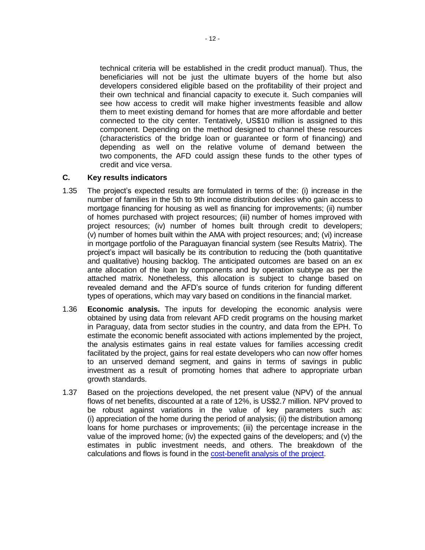technical criteria will be established in the credit product manual). Thus, the beneficiaries will not be just the ultimate buyers of the home but also developers considered eligible based on the profitability of their project and their own technical and financial capacity to execute it. Such companies will see how access to credit will make higher investments feasible and allow them to meet existing demand for homes that are more affordable and better connected to the city center. Tentatively, US\$10 million is assigned to this component. Depending on the method designed to channel these resources (characteristics of the bridge loan or guarantee or form of financing) and depending as well on the relative volume of demand between the two components, the AFD could assign these funds to the other types of credit and vice versa.

## **C. Key results indicators**

- 1.35 The project's expected results are formulated in terms of the: (i) increase in the number of families in the 5th to 9th income distribution deciles who gain access to mortgage financing for housing as well as financing for improvements; (ii) number of homes purchased with project resources; (iii) number of homes improved with project resources; (iv) number of homes built through credit to developers; (v) number of homes built within the AMA with project resources; and; (vi) increase in mortgage portfolio of the Paraguayan financial system (see Results Matrix). The project's impact will basically be its contribution to reducing the (both quantitative and qualitative) housing backlog. The anticipated outcomes are based on an ex ante allocation of the loan by components and by operation subtype as per the attached matrix. Nonetheless, this allocation is subject to change based on revealed demand and the AFD's source of funds criterion for funding different types of operations, which may vary based on conditions in the financial market.
- 1.36 **Economic analysis.** The inputs for developing the economic analysis were obtained by using data from relevant AFD credit programs on the housing market in Paraguay, data from sector studies in the country, and data from the EPH. To estimate the economic benefit associated with actions implemented by the project, the analysis estimates gains in real estate values for families accessing credit facilitated by the project, gains for real estate developers who can now offer homes to an unserved demand segment, and gains in terms of savings in public investment as a result of promoting homes that adhere to appropriate urban growth standards.
- 1.37 Based on the projections developed, the net present value (NPV) of the annual flows of net benefits, discounted at a rate of 12%, is US\$2.7 million. NPV proved to be robust against variations in the value of key parameters such as: (i) appreciation of the home during the period of analysis; (ii) the distribution among loans for home purchases or improvements; (iii) the percentage increase in the value of the improved home; (iv) the expected gains of the developers; and (v) the estimates in public investment needs, and others. The breakdown of the calculations and flows is found in the [cost-benefit analysis of the project.](http://idbdocs.iadb.org/wsdocs/getDocument.aspx?DOCNUM=40394750)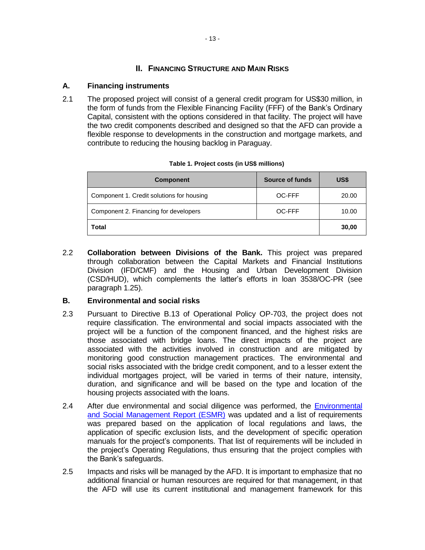## **II. FINANCING STRUCTURE AND MAIN RISKS**

#### **A. Financing instruments**

2.1 The proposed project will consist of a general credit program for US\$30 million, in the form of funds from the Flexible Financing Facility (FFF) of the Bank's Ordinary Capital, consistent with the options considered in that facility. The project will have the two credit components described and designed so that the AFD can provide a flexible response to developments in the construction and mortgage markets, and contribute to reducing the housing backlog in Paraguay.

| <b>Component</b>                          | Source of funds | US\$  |
|-------------------------------------------|-----------------|-------|
| Component 1. Credit solutions for housing | OC-FFF          | 20.00 |
| Component 2. Financing for developers     | OC-FFF          | 10.00 |
| Total                                     |                 | 30,00 |

#### **Table 1. Project costs (in US\$ millions)**

2.2 **Collaboration between Divisions of the Bank.** This project was prepared through collaboration between the Capital Markets and Financial Institutions Division (IFD/CMF) and the Housing and Urban Development Division (CSD/HUD), which complements the latter's efforts in loan 3538/OC-PR (see paragraph 1.25).

#### **B. Environmental and social risks**

- 2.3 Pursuant to Directive B.13 of Operational Policy OP-703, the project does not require classification. The environmental and social impacts associated with the project will be a function of the component financed, and the highest risks are those associated with bridge loans. The direct impacts of the project are associated with the activities involved in construction and are mitigated by monitoring good construction management practices. The environmental and social risks associated with the bridge credit component, and to a lesser extent the individual mortgages project, will be varied in terms of their nature, intensity, duration, and significance and will be based on the type and location of the housing projects associated with the loans.
- 2.4 After due environmental and social diligence was performed, the [Environmental](http://idbdocs.iadb.org/wsdocs/getDocument.aspx?DOCNUM=40397916) [and Social Management Report \(ESMR\)](http://idbdocs.iadb.org/wsdocs/getDocument.aspx?DOCNUM=40397916) was updated and a list of requirements was prepared based on the application of local regulations and laws, the application of specific exclusion lists, and the development of specific operation manuals for the project's components. That list of requirements will be included in the project's Operating Regulations, thus ensuring that the project complies with the Bank's safeguards.
- 2.5 Impacts and risks will be managed by the AFD. It is important to emphasize that no additional financial or human resources are required for that management, in that the AFD will use its current institutional and management framework for this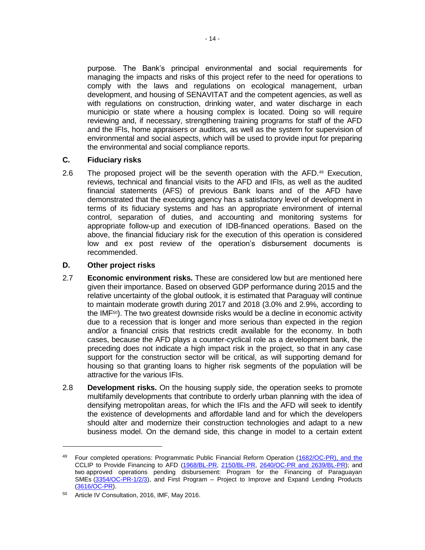purpose. The Bank's principal environmental and social requirements for managing the impacts and risks of this project refer to the need for operations to comply with the laws and regulations on ecological management, urban development, and housing of SENAVITAT and the competent agencies, as well as with regulations on construction, drinking water, and water discharge in each municipio or state where a housing complex is located. Doing so will require reviewing and, if necessary, strengthening training programs for staff of the AFD and the IFIs, home appraisers or auditors, as well as the system for supervision of environmental and social aspects, which will be used to provide input for preparing the environmental and social compliance reports.

## **C. Fiduciary risks**

2.6 The proposed project will be the seventh operation with the AFD.<sup>49</sup> Execution, reviews, technical and financial visits to the AFD and IFIs, as well as the audited financial statements (AFS) of previous Bank loans and of the AFD have demonstrated that the executing agency has a satisfactory level of development in terms of its fiduciary systems and has an appropriate environment of internal control, separation of duties, and accounting and monitoring systems for appropriate follow-up and execution of IDB-financed operations. Based on the above, the financial fiduciary risk for the execution of this operation is considered low and ex post review of the operation's disbursement documents is recommended.

## **D. Other project risks**

- 2.7 **Economic environment risks.** These are considered low but are mentioned here given their importance. Based on observed GDP performance during 2015 and the relative uncertainty of the global outlook, it is estimated that Paraguay will continue to maintain moderate growth during 2017 and 2018 (3.0% and 2.9%, according to the  $IMF<sub>50</sub>$ . The two greatest downside risks would be a decline in economic activity due to a recession that is longer and more serious than expected in the region and/or a financial crisis that restricts credit available for the economy. In both cases, because the AFD plays a counter-cyclical role as a development bank, the preceding does not indicate a high impact risk in the project, so that in any case support for the construction sector will be critical, as will supporting demand for housing so that granting loans to higher risk segments of the population will be attractive for the various IFIs.
- 2.8 **Development risks.** On the housing supply side, the operation seeks to promote multifamily developments that contribute to orderly urban planning with the idea of densifying metropolitan areas, for which the IFIs and the AFD will seek to identify the existence of developments and affordable land and for which the developers should alter and modernize their construction technologies and adapt to a new business model. On the demand side, this change in model to a certain extent

 $\overline{a}$ 

<sup>49</sup> Four completed operations: Programmatic Public Financial Reform Operation [\(1682/OC-PR\),](http://www.iadb.org/en/projects/project-description-title,1303.html?id=PR-L1012) and the CCLIP to Provide Financing to AFD [\(1968/BL-PR,](http://www.iadb.org/en/projects/project-description-title,1303.html?id=PR-L1024) [2150/BL-PR,](http://www.iadb.org/en/projects/project-description-title,1303.html?id=PR-L1032) [2640/OC-PR and 2639/BL-PR\)](http://www.iadb.org/en/projects/project-description-title,1303.html?id=PR-L1062); and two approved operations pending disbursement: Program for the Financing of Paraguayan SMEs [\(3354/OC-PR-1/2/3\)](http://www.iadb.org/en/projects/project-description-title,1303.html?id=PR-L1081), and First Program – Project to Improve and Expand Lending Products [\(3616/OC-PR\)](http://www.iadb.org/en/projects/project-description-title,1303.html?id=PR-L1095).

<sup>50</sup> Article IV Consultation, 2016, IMF, May 2016.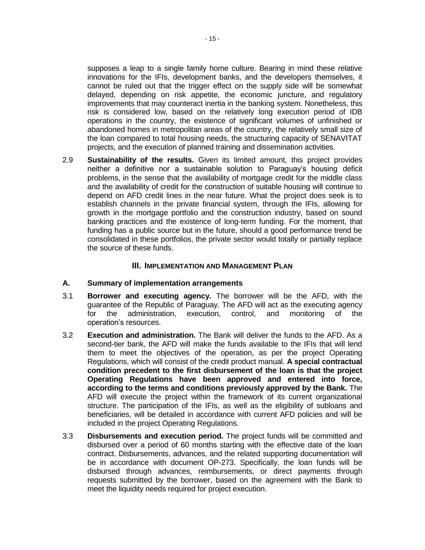supposes a leap to a single family home culture. Bearing in mind these relative innovations for the IFIs, development banks, and the developers themselves, it cannot be ruled out that the trigger effect on the supply side will be somewhat delayed, depending on risk appetite, the economic juncture, and regulatory improvements that may counteract inertia in the banking system. Nonetheless, this risk is considered low, based on the relatively long execution period of IDB operations in the country, the existence of significant volumes of unfinished or abandoned homes in metropolitan areas of the country, the relatively small size of the loan compared to total housing needs, the structuring capacity of SENAVITAT projects, and the execution of planned training and dissemination activities.

2.9 **Sustainability of the results.** Given its limited amount, this project provides neither a definitive nor a sustainable solution to Paraguay's housing deficit problems, in the sense that the availability of mortgage credit for the middle class and the availability of credit for the construction of suitable housing will continue to depend on AFD credit lines in the near future. What the project does seek is to establish channels in the private financial system, through the IFIs, allowing for growth in the mortgage portfolio and the construction industry, based on sound banking practices and the existence of long-term funding. For the moment, that funding has a public source but in the future, should a good performance trend be consolidated in these portfolios, the private sector would totally or partially replace the source of these funds.

#### **III. IMPLEMENTATION AND MANAGEMENT PLAN**

#### **A. Summary of implementation arrangements**

- 3.1 **Borrower and executing agency.** The borrower will be the AFD, with the guarantee of the Republic of Paraguay. The AFD will act as the executing agency for the administration, execution, control, and monitoring of the operation's resources.
- 3.2 **Execution and administration.** The Bank will deliver the funds to the AFD. As a second-tier bank, the AFD will make the funds available to the IFIs that will lend them to meet the objectives of the operation, as per the project Operating Regulations, which will consist of the credit product manual. **A special contractual condition precedent to the first disbursement of the loan is that the project Operating Regulations have been approved and entered into force, according to the terms and conditions previously approved by the Bank.** The AFD will execute the project within the framework of its current organizational structure. The participation of the IFIs, as well as the eligibility of subloans and beneficiaries, will be detailed in accordance with current AFD policies and will be included in the project Operating Regulations.
- <span id="page-19-0"></span>3.3 **Disbursements and execution period.** The project funds will be committed and disbursed over a period of 60 months starting with the effective date of the loan contract. Disbursements, advances, and the related supporting documentation will be in accordance with document OP-273. Specifically, the loan funds will be disbursed through advances, reimbursements, or direct payments through requests submitted by the borrower, based on the agreement with the Bank to meet the liquidity needs required for project execution.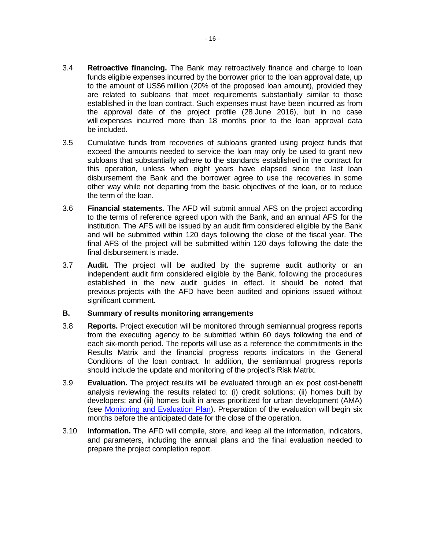- 3.4 **Retroactive financing.** The Bank may retroactively finance and charge to loan funds eligible expenses incurred by the borrower prior to the loan approval date, up to the amount of US\$6 million (20% of the proposed loan amount), provided they are related to subloans that meet requirements substantially similar to those established in the loan contract. Such expenses must have been incurred as from the approval date of the project profile (28 June 2016), but in no case will expenses incurred more than 18 months prior to the loan approval data be included.
- 3.5 Cumulative funds from recoveries of subloans granted using project funds that exceed the amounts needed to service the loan may only be used to grant new subloans that substantially adhere to the standards established in the contract for this operation, unless when eight years have elapsed since the last loan disbursement the Bank and the borrower agree to use the recoveries in some other way while not departing from the basic objectives of the loan, or to reduce the term of the loan.
- 3.6 **Financial statements.** The AFD will submit annual AFS on the project according to the terms of reference agreed upon with the Bank, and an annual AFS for the institution. The AFS will be issued by an audit firm considered eligible by the Bank and will be submitted within 120 days following the close of the fiscal year. The final AFS of the project will be submitted within 120 days following the date the final disbursement is made.
- 3.7 **Audit.** The project will be audited by the supreme audit authority or an independent audit firm considered eligible by the Bank, following the procedures established in the new audit guides in effect. It should be noted that previous projects with the AFD have been audited and opinions issued without significant comment.

## **B. Summary of results monitoring arrangements**

- 3.8 **Reports.** Project execution will be monitored through semiannual progress reports from the executing agency to be submitted within 60 days following the end of each six-month period. The reports will use as a reference the commitments in the Results Matrix and the financial progress reports indicators in the General Conditions of the loan contract. In addition, the semiannual progress reports should include the update and monitoring of the project's Risk Matrix.
- 3.9 **Evaluation.** The project results will be evaluated through an ex post cost-benefit analysis reviewing the results related to: (i) credit solutions; (ii) homes built by developers; and (iii) homes built in areas prioritized for urban development (AMA) (see [Monitoring and Evaluation Plan\)](http://idbdocs.iadb.org/wsdocs/getDocument.aspx?DOCNUM=40396167). Preparation of the evaluation will begin six months before the anticipated date for the close of the operation.
- 3.10 **Information.** The AFD will compile, store, and keep all the information, indicators, and parameters, including the annual plans and the final evaluation needed to prepare the project completion report.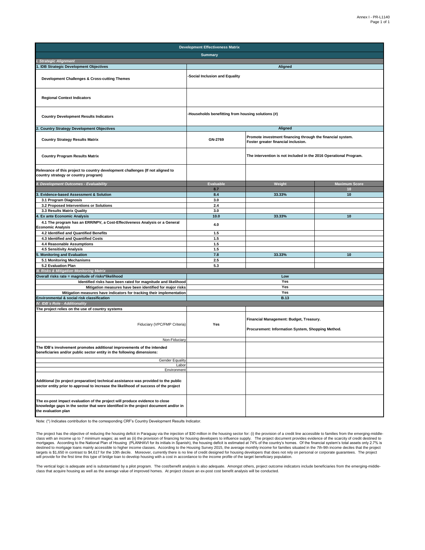| <b>Development Effectiveness Matrix</b>                                                                                                                                                   |                                                    |                                                                                                   |                      |  |  |  |
|-------------------------------------------------------------------------------------------------------------------------------------------------------------------------------------------|----------------------------------------------------|---------------------------------------------------------------------------------------------------|----------------------|--|--|--|
|                                                                                                                                                                                           | <b>Summary</b>                                     |                                                                                                   |                      |  |  |  |
| I. Strategic Alignment                                                                                                                                                                    |                                                    |                                                                                                   |                      |  |  |  |
| 1. IDB Strategic Development Objectives                                                                                                                                                   |                                                    | Aligned                                                                                           |                      |  |  |  |
| Development Challenges & Cross-cutting Themes                                                                                                                                             | Social Inclusion and Equality                      |                                                                                                   |                      |  |  |  |
| <b>Regional Context Indicators</b>                                                                                                                                                        |                                                    |                                                                                                   |                      |  |  |  |
| <b>Country Development Results Indicators</b>                                                                                                                                             | -Households benefitting from housing solutions (#) |                                                                                                   |                      |  |  |  |
| <b>Country Strategy Development Objectives</b>                                                                                                                                            |                                                    | <b>Aligned</b>                                                                                    |                      |  |  |  |
| <b>Country Strategy Results Matrix</b>                                                                                                                                                    | GN-2769                                            | Promote investment financing through the financial system.<br>Foster greater financial inclusion. |                      |  |  |  |
| <b>Country Program Results Matrix</b>                                                                                                                                                     |                                                    | The intervention is not included in the 2016 Operational Program.                                 |                      |  |  |  |
| Relevance of this project to country development challenges (If not aligned to<br>country strategy or country program)                                                                    |                                                    |                                                                                                   |                      |  |  |  |
| II. Development Outcomes - Evaluability                                                                                                                                                   | <b>Evaluable</b>                                   | Weight                                                                                            | <b>Maximum Score</b> |  |  |  |
|                                                                                                                                                                                           | 8.7                                                |                                                                                                   | 10                   |  |  |  |
| Evidence-based Assessment & Solution<br>3.1 Program Diagnosis                                                                                                                             | 8.4<br>3.0                                         | 33.33%                                                                                            | 10                   |  |  |  |
| 3.2 Proposed Interventions or Solutions                                                                                                                                                   | 2.4                                                |                                                                                                   |                      |  |  |  |
| 3.3 Results Matrix Quality                                                                                                                                                                | 3.0                                                |                                                                                                   |                      |  |  |  |
| <b>Ex ante Economic Analysis</b>                                                                                                                                                          | 10.0                                               | 33.33%                                                                                            | 10                   |  |  |  |
| 4.1 The program has an ERR/NPV, a Cost-Effectiveness Analysis or a General<br>Economic Analysis                                                                                           | 4.0                                                |                                                                                                   |                      |  |  |  |
| 4.2 Identified and Quantified Benefits                                                                                                                                                    | 1.5                                                |                                                                                                   |                      |  |  |  |
| 4.3 Identified and Quantified Costs                                                                                                                                                       | 1.5                                                |                                                                                                   |                      |  |  |  |
| 4.4 Reasonable Assumptions                                                                                                                                                                | 1.5                                                |                                                                                                   |                      |  |  |  |
| 4.5 Sensitivity Analysis                                                                                                                                                                  | 1.5                                                |                                                                                                   |                      |  |  |  |
| Monitoring and Evaluation                                                                                                                                                                 | 7.8                                                | 33.33%                                                                                            | 10                   |  |  |  |
| 5.1 Monitoring Mechanisms<br>5.2 Evaluation Plan                                                                                                                                          | 2.5<br>5.3                                         |                                                                                                   |                      |  |  |  |
| III. Risks & Mitigation Monitoring Matrix                                                                                                                                                 |                                                    |                                                                                                   |                      |  |  |  |
| Overall risks rate = magnitude of risks*likelihood                                                                                                                                        |                                                    | Low                                                                                               |                      |  |  |  |
| Identified risks have been rated for magnitude and likelihood                                                                                                                             |                                                    | Yes                                                                                               |                      |  |  |  |
| Mitigation measures have been identified for major risks                                                                                                                                  |                                                    | Yes                                                                                               |                      |  |  |  |
| Mitigation measures have indicators for tracking their implementation                                                                                                                     |                                                    | Yes                                                                                               |                      |  |  |  |
| Environmental & social risk classification                                                                                                                                                |                                                    | <b>B.13</b>                                                                                       |                      |  |  |  |
| IV. IDB's Role - Additionality                                                                                                                                                            |                                                    |                                                                                                   |                      |  |  |  |
| The project relies on the use of country systems                                                                                                                                          |                                                    |                                                                                                   |                      |  |  |  |
| Fiduciary (VPC/FMP Criteria)                                                                                                                                                              | Yes                                                | Financial Management: Budget, Treasury.<br>Procurement: Information System, Shopping Method.      |                      |  |  |  |
| Non-Fiduciary                                                                                                                                                                             |                                                    |                                                                                                   |                      |  |  |  |
| The IDB's involvement promotes additional improvements of the intended<br>beneficiaries and/or public sector entity in the following dimensions:                                          |                                                    |                                                                                                   |                      |  |  |  |
| <b>Gender Equality</b>                                                                                                                                                                    |                                                    |                                                                                                   |                      |  |  |  |
| Labor<br>Environment                                                                                                                                                                      |                                                    |                                                                                                   |                      |  |  |  |
| Additional (to project preparation) technical assistance was provided to the public<br>sector entity prior to approval to increase the likelihood of success of the project               |                                                    |                                                                                                   |                      |  |  |  |
| The ex-post impact evaluation of the project will produce evidence to close<br>knowledge gaps in the sector that were identified in the project document and/or in<br>the evaluation plan |                                                    |                                                                                                   |                      |  |  |  |

Note: (\*) Indicates contribution to the corresponding CRF's Country Development Results Indicator.

The project has the objective of reducing the housing deficit in Paraguay via the injection of \$30 million in the housing sector for: (i) the provision of a credit line accessible to families from the emerging-middle-<br>clas targets is \$1,650 in contrast to \$4,617 for the 10th decile. Moreover, currently there is no line of credit designed for housing developers that does not rely on personal or corporate guarantees. The project<br>will provide f

The vertical logic is adequate and is substantiated by a pilot program. The cost/benefit analysis is also adequate. Amongst others, project outcome indicators include beneficiaries from the emerging-middle-<br>class that acqu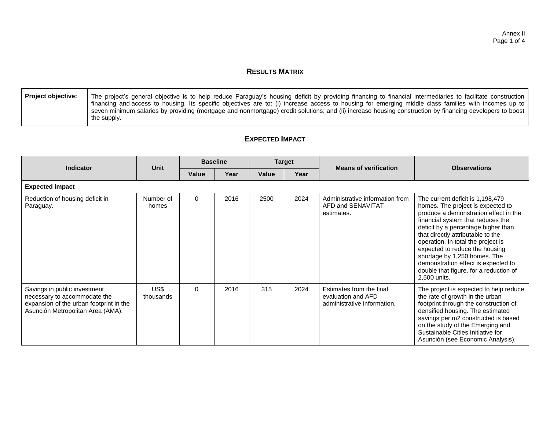## **RESULTS MATRIX**

| Project objective: | The project's general objective is to help reduce Paraguay's housing deficit by providing financing to financial intermediaries to facilitate construction |
|--------------------|------------------------------------------------------------------------------------------------------------------------------------------------------------|
|                    | financing and access to housing. Its specific objectives are to: (i) increase access to housing for emerging middle class families with incomes up to      |
|                    | seven minimum salaries by providing (mortgage and nonmortgage) credit solutions; and (ii) increase housing construction by financing developers to boost   |
|                    | the supply.                                                                                                                                                |

## **EXPECTED IMPACT**

| Indicator                                                                                                                                    | <b>Unit</b>        | <b>Baseline</b> |      | <b>Target</b> |      | <b>Means of verification</b>                                                  | <b>Observations</b>                                                                                                                                                                                                                                                                                                                                                                                                                      |  |
|----------------------------------------------------------------------------------------------------------------------------------------------|--------------------|-----------------|------|---------------|------|-------------------------------------------------------------------------------|------------------------------------------------------------------------------------------------------------------------------------------------------------------------------------------------------------------------------------------------------------------------------------------------------------------------------------------------------------------------------------------------------------------------------------------|--|
|                                                                                                                                              |                    | Value           | Year | Value         | Year |                                                                               |                                                                                                                                                                                                                                                                                                                                                                                                                                          |  |
| <b>Expected impact</b>                                                                                                                       |                    |                 |      |               |      |                                                                               |                                                                                                                                                                                                                                                                                                                                                                                                                                          |  |
| Reduction of housing deficit in<br>Paraguay.                                                                                                 | Number of<br>homes | 0               | 2016 | 2500          | 2024 | Administrative information from<br>AFD and SENAVITAT<br>estimates.            | The current deficit is 1,198,479<br>homes. The project is expected to<br>produce a demonstration effect in the<br>financial system that reduces the<br>deficit by a percentage higher than<br>that directly attributable to the<br>operation. In total the project is<br>expected to reduce the housing<br>shortage by 1,250 homes. The<br>demonstration effect is expected to<br>double that figure, for a reduction of<br>2,500 units. |  |
| Savings in public investment<br>necessary to accommodate the<br>expansion of the urban footprint in the<br>Asunción Metropolitan Area (AMA). | US\$<br>thousands  | 0               | 2016 | 315           | 2024 | Estimates from the final<br>evaluation and AFD<br>administrative information. | The project is expected to help reduce<br>the rate of growth in the urban<br>footprint through the construction of<br>densified housing. The estimated<br>savings per m2 constructed is based<br>on the study of the Emerging and<br>Sustainable Cities Initiative for<br>Asunción (see Economic Analysis).                                                                                                                              |  |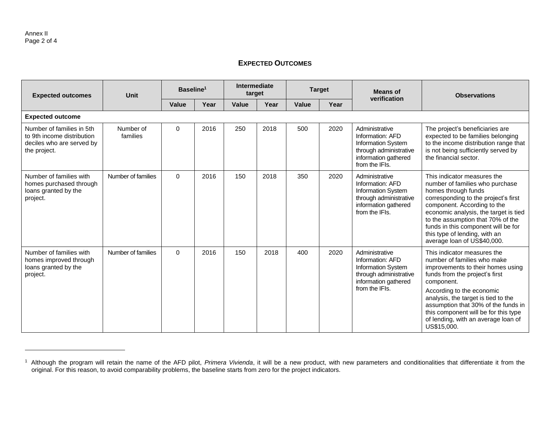## **EXPECTED OUTCOMES**

| <b>Expected outcomes</b>                                                                             | Unit                  | Baseline <sup>1</sup> |      | Intermediate<br>target |      |       | <b>Target</b> | <b>Means of</b>                                                                                                                     | <b>Observations</b>                                                                                                                                                                                                                                                                                                                                      |
|------------------------------------------------------------------------------------------------------|-----------------------|-----------------------|------|------------------------|------|-------|---------------|-------------------------------------------------------------------------------------------------------------------------------------|----------------------------------------------------------------------------------------------------------------------------------------------------------------------------------------------------------------------------------------------------------------------------------------------------------------------------------------------------------|
|                                                                                                      |                       | <b>Value</b>          | Year | <b>Value</b>           | Year | Value | Year          | verification                                                                                                                        |                                                                                                                                                                                                                                                                                                                                                          |
| <b>Expected outcome</b>                                                                              |                       |                       |      |                        |      |       |               |                                                                                                                                     |                                                                                                                                                                                                                                                                                                                                                          |
| Number of families in 5th<br>to 9th income distribution<br>deciles who are served by<br>the project. | Number of<br>families | $\Omega$              | 2016 | 250                    | 2018 | 500   | 2020          | Administrative<br>Information: AFD<br><b>Information System</b><br>through administrative<br>information gathered<br>from the IFIs. | The project's beneficiaries are<br>expected to be families belonging<br>to the income distribution range that<br>is not being sufficiently served by<br>the financial sector.                                                                                                                                                                            |
| Number of families with<br>homes purchased through<br>loans granted by the<br>project.               | Number of families    | $\Omega$              | 2016 | 150                    | 2018 | 350   | 2020          | Administrative<br>Information: AFD<br><b>Information System</b><br>through administrative<br>information gathered<br>from the IFIs. | This indicator measures the<br>number of families who purchase<br>homes through funds<br>corresponding to the project's first<br>component. According to the<br>economic analysis, the target is tied<br>to the assumption that 70% of the<br>funds in this component will be for<br>this type of lending, with an<br>average loan of US\$40,000.        |
| Number of families with<br>homes improved through<br>loans granted by the<br>project.                | Number of families    | $\Omega$              | 2016 | 150                    | 2018 | 400   | 2020          | Administrative<br>Information: AFD<br><b>Information System</b><br>through administrative<br>information gathered<br>from the IFIs. | This indicator measures the<br>number of families who make<br>improvements to their homes using<br>funds from the project's first<br>component.<br>According to the economic<br>analysis, the target is tied to the<br>assumption that 30% of the funds in<br>this component will be for this type<br>of lending, with an average loan of<br>US\$15,000. |

<sup>1</sup> Although the program will retain the name of the AFD pilot, *Primera Vivienda*, it will be a new product, with new parameters and conditionalities that differentiate it from the original. For this reason, to avoid comparability problems, the baseline starts from zero for the project indicators.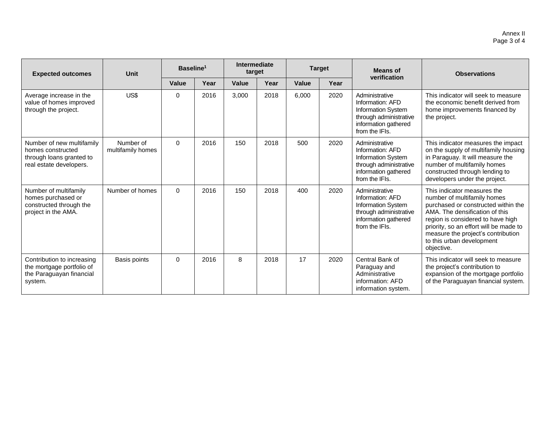| <b>Expected outcomes</b>                                                                              | <b>Unit</b>                    | Baseline <sup>1</sup> |      | Intermediate<br>target |      | <b>Target</b> |      | <b>Means of</b>                                                                                                                     | <b>Observations</b>                                                                                                                                                                                                                                                                                 |
|-------------------------------------------------------------------------------------------------------|--------------------------------|-----------------------|------|------------------------|------|---------------|------|-------------------------------------------------------------------------------------------------------------------------------------|-----------------------------------------------------------------------------------------------------------------------------------------------------------------------------------------------------------------------------------------------------------------------------------------------------|
|                                                                                                       |                                | Value                 | Year | Value                  | Year | Value         | Year | verification                                                                                                                        |                                                                                                                                                                                                                                                                                                     |
| Average increase in the<br>value of homes improved<br>through the project.                            | US\$                           | 0                     | 2016 | 3,000                  | 2018 | 6,000         | 2020 | Administrative<br>Information: AFD<br><b>Information System</b><br>through administrative<br>information gathered<br>from the IFIs. | This indicator will seek to measure<br>the economic benefit derived from<br>home improvements financed by<br>the project.                                                                                                                                                                           |
| Number of new multifamily<br>homes constructed<br>through loans granted to<br>real estate developers. | Number of<br>multifamily homes | $\Omega$              | 2016 | 150                    | 2018 | 500           | 2020 | Administrative<br>Information: AFD<br><b>Information System</b><br>through administrative<br>information gathered<br>from the IFIs. | This indicator measures the impact<br>on the supply of multifamily housing<br>in Paraguay. It will measure the<br>number of multifamily homes<br>constructed through lending to<br>developers under the project.                                                                                    |
| Number of multifamily<br>homes purchased or<br>constructed through the<br>project in the AMA.         | Number of homes                | $\Omega$              | 2016 | 150                    | 2018 | 400           | 2020 | Administrative<br>Information: AFD<br><b>Information System</b><br>through administrative<br>information gathered<br>from the IFIs. | This indicator measures the<br>number of multifamily homes<br>purchased or constructed within the<br>AMA. The densification of this<br>region is considered to have high<br>priority, so an effort will be made to<br>measure the project's contribution<br>to this urban development<br>objective. |
| Contribution to increasing<br>the mortgage portfolio of<br>the Paraguayan financial<br>system.        | Basis points                   | $\Omega$              | 2016 | 8                      | 2018 | 17            | 2020 | Central Bank of<br>Paraguay and<br>Administrative<br>information: AFD<br>information system.                                        | This indicator will seek to measure<br>the project's contribution to<br>expansion of the mortgage portfolio<br>of the Paraguayan financial system.                                                                                                                                                  |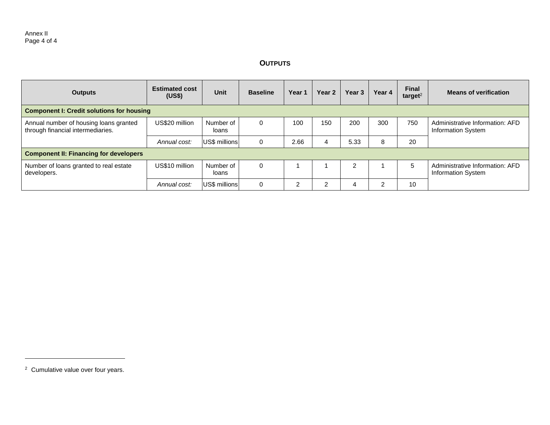## **OUTPUTS**

| <b>Outputs</b>                                                              | <b>Estimated cost</b><br>(US\$) | <b>Unit</b>        | <b>Baseline</b> | Year 1 | Year <sub>2</sub> | Year 3 | Year 4 | <b>Final</b><br>target $2$ | <b>Means of verification</b>                                 |
|-----------------------------------------------------------------------------|---------------------------------|--------------------|-----------------|--------|-------------------|--------|--------|----------------------------|--------------------------------------------------------------|
| <b>Component I: Credit solutions for housing</b>                            |                                 |                    |                 |        |                   |        |        |                            |                                                              |
| Annual number of housing loans granted<br>through financial intermediaries. | US\$20 million                  | Number of<br>loans |                 | 100    | 150               | 200    | 300    | 750                        | Administrative Information: AFD<br>Information System        |
|                                                                             | Annual cost:                    | US\$ millions      | $\sqrt{ }$      | 2.66   | 4                 | 5.33   | 8      | 20                         |                                                              |
| <b>Component II: Financing for developers</b>                               |                                 |                    |                 |        |                   |        |        |                            |                                                              |
| Number of loans granted to real estate<br>developers.                       | US\$10 million                  | Number of<br>loans |                 |        |                   |        |        | 5                          | Administrative Information: AFD<br><b>Information System</b> |
|                                                                             | Annual cost:                    | US\$ millions      |                 | 2      | ົ                 |        | ົ      | 10                         |                                                              |

<sup>2</sup> Cumulative value over four years.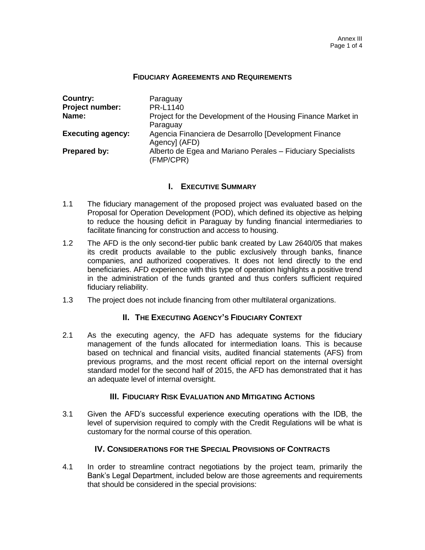#### **FIDUCIARY AGREEMENTS AND REQUIREMENTS**

| Country:                 | Paraguay                                                                 |
|--------------------------|--------------------------------------------------------------------------|
| Project number:          | PR-L1140                                                                 |
| Name:                    | Project for the Development of the Housing Finance Market in             |
|                          | Paraguay                                                                 |
| <b>Executing agency:</b> | Agencia Financiera de Desarrollo [Development Finance<br>Agency] (AFD)   |
| Prepared by:             | Alberto de Egea and Mariano Perales - Fiduciary Specialists<br>(FMP/CPR) |

## **I. EXECUTIVE SUMMARY**

- 1.1 The fiduciary management of the proposed project was evaluated based on the Proposal for Operation Development (POD), which defined its objective as helping to reduce the housing deficit in Paraguay by funding financial intermediaries to facilitate financing for construction and access to housing.
- 1.2 The AFD is the only second-tier public bank created by Law 2640/05 that makes its credit products available to the public exclusively through banks, finance companies, and authorized cooperatives. It does not lend directly to the end beneficiaries. AFD experience with this type of operation highlights a positive trend in the administration of the funds granted and thus confers sufficient required fiduciary reliability.
- 1.3 The project does not include financing from other multilateral organizations.

## **II. THE EXECUTING AGENCY'S FIDUCIARY CONTEXT**

2.1 As the executing agency, the AFD has adequate systems for the fiduciary management of the funds allocated for intermediation loans. This is because based on technical and financial visits, audited financial statements (AFS) from previous programs, and the most recent official report on the internal oversight standard model for the second half of 2015, the AFD has demonstrated that it has an adequate level of internal oversight.

## **III. FIDUCIARY RISK EVALUATION AND MITIGATING ACTIONS**

3.1 Given the AFD's successful experience executing operations with the IDB, the level of supervision required to comply with the Credit Regulations will be what is customary for the normal course of this operation.

## **IV. CONSIDERATIONS FOR THE SPECIAL PROVISIONS OF CONTRACTS**

4.1 In order to streamline contract negotiations by the project team, primarily the Bank's Legal Department, included below are those agreements and requirements that should be considered in the special provisions: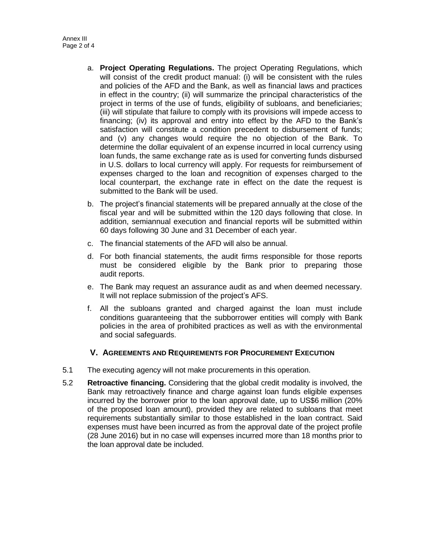- a. **Project Operating Regulations.** The project Operating Regulations, which will consist of the credit product manual: (i) will be consistent with the rules and policies of the AFD and the Bank, as well as financial laws and practices in effect in the country; (ii) will summarize the principal characteristics of the project in terms of the use of funds, eligibility of subloans, and beneficiaries; (iii) will stipulate that failure to comply with its provisions will impede access to financing; (iv) its approval and entry into effect by the AFD to the Bank's satisfaction will constitute a condition precedent to disbursement of funds; and (v) any changes would require the no objection of the Bank. To determine the dollar equivalent of an expense incurred in local currency using loan funds, the same exchange rate as is used for converting funds disbursed in U.S. dollars to local currency will apply. For requests for reimbursement of expenses charged to the loan and recognition of expenses charged to the local counterpart, the exchange rate in effect on the date the request is submitted to the Bank will be used.
- b. The project's financial statements will be prepared annually at the close of the fiscal year and will be submitted within the 120 days following that close. In addition, semiannual execution and financial reports will be submitted within 60 days following 30 June and 31 December of each year.
- c. The financial statements of the AFD will also be annual.
- d. For both financial statements, the audit firms responsible for those reports must be considered eligible by the Bank prior to preparing those audit reports.
- e. The Bank may request an assurance audit as and when deemed necessary. It will not replace submission of the project's AFS.
- f. All the subloans granted and charged against the loan must include conditions guaranteeing that the subborrower entities will comply with Bank policies in the area of prohibited practices as well as with the environmental and social safeguards.

## **V. AGREEMENTS AND REQUIREMENTS FOR PROCUREMENT EXECUTION**

- 5.1 The executing agency will not make procurements in this operation.
- 5.2 **Retroactive financing.** Considering that the global credit modality is involved, the Bank may retroactively finance and charge against loan funds eligible expenses incurred by the borrower prior to the loan approval date, up to US\$6 million (20% of the proposed loan amount), provided they are related to subloans that meet requirements substantially similar to those established in the loan contract. Said expenses must have been incurred as from the approval date of the project profile (28 June 2016) but in no case will expenses incurred more than 18 months prior to the loan approval date be included.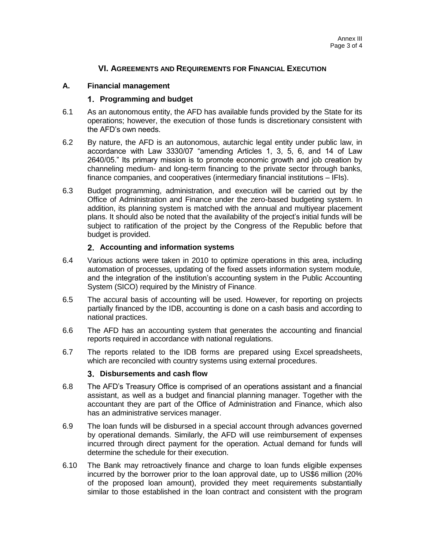## **VI. AGREEMENTS AND REQUIREMENTS FOR FINANCIAL EXECUTION**

#### **A. Financial management**

#### **Programming and budget**

- 6.1 As an autonomous entity, the AFD has available funds provided by the State for its operations; however, the execution of those funds is discretionary consistent with the AFD's own needs.
- 6.2 By nature, the AFD is an autonomous, autarchic legal entity under public law, in accordance with Law 3330/07 "amending Articles 1, 3, 5, 6, and 14 of Law 2640/05." Its primary mission is to promote economic growth and job creation by channeling medium- and long-term financing to the private sector through banks, finance companies, and cooperatives (intermediary financial institutions – IFIs).
- 6.3 Budget programming, administration, and execution will be carried out by the Office of Administration and Finance under the zero-based budgeting system. In addition, its planning system is matched with the annual and multiyear placement plans. It should also be noted that the availability of the project's initial funds will be subject to ratification of the project by the Congress of the Republic before that budget is provided.

#### **Accounting and information systems**

- 6.4 Various actions were taken in 2010 to optimize operations in this area, including automation of processes, updating of the fixed assets information system module, and the integration of the institution's accounting system in the Public Accounting System (SICO) required by the Ministry of Finance.
- 6.5 The accural basis of accounting will be used. However, for reporting on projects partially financed by the IDB, accounting is done on a cash basis and according to national practices.
- 6.6 The AFD has an accounting system that generates the accounting and financial reports required in accordance with national regulations.
- 6.7 The reports related to the IDB forms are prepared using Excel spreadsheets, which are reconciled with country systems using external procedures.

#### **Disbursements and cash flow**

- 6.8 The AFD's Treasury Office is comprised of an operations assistant and a financial assistant, as well as a budget and financial planning manager. Together with the accountant they are part of the Office of Administration and Finance, which also has an administrative services manager.
- 6.9 The loan funds will be disbursed in a special account through advances governed by operational demands. Similarly, the AFD will use reimbursement of expenses incurred through direct payment for the operation. Actual demand for funds will determine the schedule for their execution.
- 6.10 The Bank may retroactively finance and charge to loan funds eligible expenses incurred by the borrower prior to the loan approval date, up to US\$6 million (20% of the proposed loan amount), provided they meet requirements substantially similar to those established in the loan contract and consistent with the program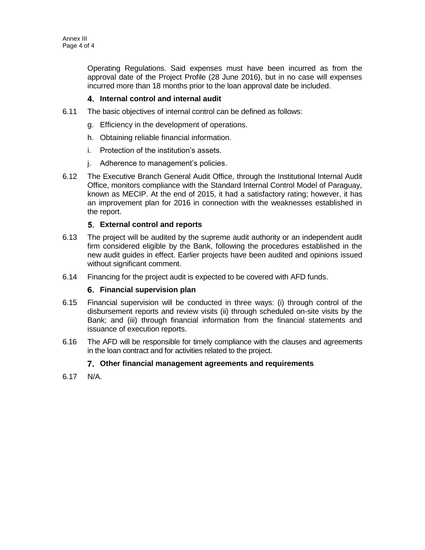Operating Regulations. Said expenses must have been incurred as from the approval date of the Project Profile (28 June 2016), but in no case will expenses incurred more than 18 months prior to the loan approval date be included.

## **Internal control and internal audit**

- 6.11 The basic objectives of internal control can be defined as follows:
	- g. Efficiency in the development of operations.
	- h. Obtaining reliable financial information.
	- i. Protection of the institution's assets.
	- j. Adherence to management's policies.
- 6.12 The Executive Branch General Audit Office, through the Institutional Internal Audit Office, monitors compliance with the Standard Internal Control Model of Paraguay, known as MECIP. At the end of 2015, it had a satisfactory rating; however, it has an improvement plan for 2016 in connection with the weaknesses established in the report.

## **External control and reports**

- 6.13 The project will be audited by the supreme audit authority or an independent audit firm considered eligible by the Bank, following the procedures established in the new audit guides in effect. Earlier projects have been audited and opinions issued without significant comment.
- 6.14 Financing for the project audit is expected to be covered with AFD funds.

## **Financial supervision plan**

- 6.15 Financial supervision will be conducted in three ways: (i) through control of the disbursement reports and review visits (ii) through scheduled on-site visits by the Bank; and (iii) through financial information from the financial statements and issuance of execution reports.
- 6.16 The AFD will be responsible for timely compliance with the clauses and agreements in the loan contract and for activities related to the project.

## **Other financial management agreements and requirements**

6.17 N/A.